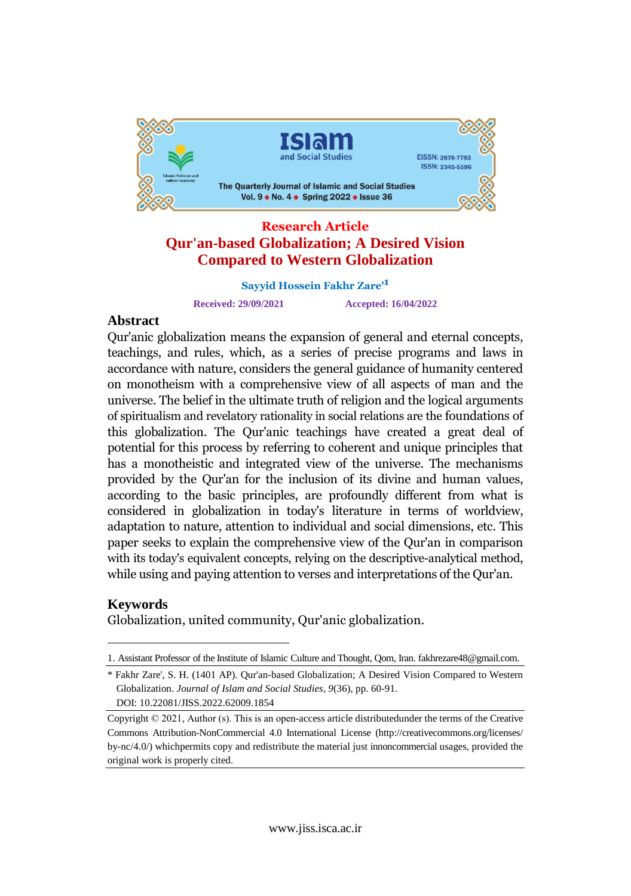

# **Qur'an-based Globalization; A Desired Vision Compared to Western Globalization**

**Sayyid Hossein Fakhr Zare'<sup>1</sup>**

**Received: 29/09/2021 Accepted: 16/04/2022**

# Abstract<br>Qur'anic al al ali

Qur'anic globalization means the expansion of general and eternal concepts, Qur'anic globalization means the expansion of general and eternal concepts,<br>teachings, and rules, which, as a series of precise programs and laws in teachings, and rules, which, as a series of precise programs and laws in<br>accordance with nature, considers the general guidance of humanity centered accordance with nature, considers the general guidance of humanity centered<br>on monotheism with a comprehensive view of all aspects of man and the on monotheism with a comprehensive view of all aspects of man and the<br>universe. The belief in the ultimate truth of religion and the logical arguments universe. The beliet in the ultimate truth of religion and the logical arguments<br>of spiritualism and revelatory rationality in social relations are the foundations of of spiritualism and revelatory rationality in social relations are the foundations of<br>this globalization. The Qur'anic teachings have created a great deal of this globalization. The Qur'anic teachings have created a great deal of<br>potential for this process by referring to coherent and unique principles that potential for this process by referring to coherent and unique principles that<br>has a monotheistic and integrated view of the universe. The mechanisms provided by the Qur'an for the inclusion of its divine and human values, provided by the Qur'an for the inclusion of its divine and human values,<br>according to the basic principles, are profoundly different from what is considered in globalization in today's literature in terms of worldview, considered in globalization in today's literature in terms of worldview,<br>adaptation to nature, attention to individual and social dimensions, etc. This adaptation to nature, attention to individual and social dimensions, etc. This<br>paper seeks to explain the comprehensive view of the Qur'an in comparison with its today's equivalent concepts, relying on the descriptive-analytical method, while using and paying attention to verses and interpretations of the Qur'an.

# Keywords

Globalization, united community, Qur'anic globalization.

<sup>1.</sup> Assistant Professor of the Institute of Islamic Culture and Thought, Qom, Iran. [fakhrezare48@gmail.com.](mailto:fakhrezare48@gmail.com.)

<sup>\*</sup> Fakhr Zare', S. H. (1401 AP). Qur'an-based Globalization; A Desired Vision Compared to Western Globalization. *Journal of Islam and Social Studies, 9*(36), pp. 60-91. DOI: 10.22081/JISS.2022.62009.1854

Copyright © 2021, Author (s). This is an open-access article distributedunder the terms of the Creative Commons Attribution-NonCommercial 4.0 International License (http://creativecommons.org/licenses/ by-nc/4.0/) whichpermits copy and redistribute the material just innoncommercial usages, provided the original work is properly cited.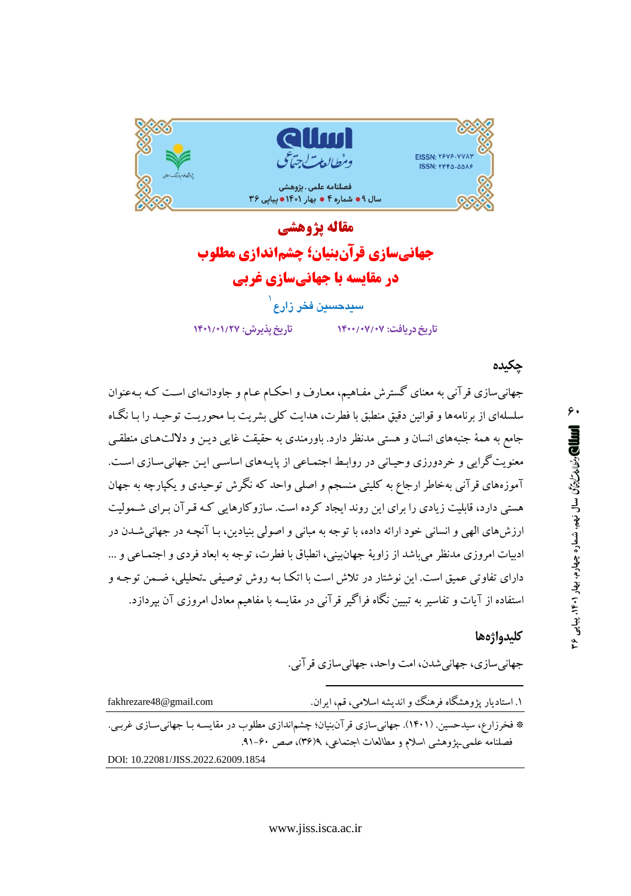

# مقاله يژوهشي جهانیسازی قرآنبنیان؛ چشماندازی مطلوب در مقایسه با جهانیسازی غربی سيدحسين فخر زارع <sup>ا</sup>

تاريخ پذيرش: ١٣٠١/٢٧

تاریخ دریافت: ۰۷/۰۷/۰۷/۱۴۰۰

جكىدە

جهانی سازی قرآنی به معنای گسترش مفـاهیم، معـارف و احکـام عـام و جاودانـهای اسـت کـه بـهعنوان سلسلهای از برنامهها و قوانین دقیق منطبق با فطرت، هدایت کلی بشریت بـا محوریـت توحیـد را بـا نگـاه جامع به همهٔ جنبههای انسان و هستی مدنظر دارد. باورمندی به حقیقت غایبی دیـن و دلالتهـای منطقـی معنویت گرایی و خردورزی وحیانی در روابط اجتمـاعی از پایـههای اساسـی ایـن جهانی سـازی اسـت. آموزههای قرآنی بهخاطر ارجاع به کلیتی منسجم و اصلی واحد که نگرش توحیدی و یکپارچه به جهان هستی دارد، قابلیت زیادی را برای این روند ایجاد کرده است. سازوکارهایی کـه قـرآن بـرای شـمولیت ارزش های الهی و انسانی خود ارائه داده، با توجه به مبانی و اصولی بنیادین، بـا آنچـه در جهانی شــدن در ادبیات امروزی مدنظر می باشد از زاویهٔ جهان بینی، انطباق با فطرت، توجه به ابعاد فردی و اجتمـاعی و … دارای تفاوتی عمیق است. این نوشتار در تلاش است با اتکـا بـه روش توصیفی ـتحلیلی، ضـمن توجـه و استفاده از آیات و تفاسیر به تبیین نگاه فراگیر قرآنی در مقایسه با مفاهیم معادل امروزی آن بپردازد.

#### كليدواژهها

جهانيسازي، جهانيشدن، امت واحد، جهانيسازي قرآني.

۱. استادیار پژوهشگاه فرهنگ وو اندیشه اسلامی، قم، ایران. fakhrezare48@gmail.com \* فخرزارع، سیدحسین. (۱۴۰۱). جهانیسازی قرآن بنیان؛ چشم|ندازی مطلوب در مقایسـه بـا جهانی۳سازی غربـی. فصلنامه علمی بیژوهشی اسلام و مطالعات اجتماعی، ۴(۳۶)، صص ۴۰-۹۱. DOI: 10.22081/JISS.2022.62009.1854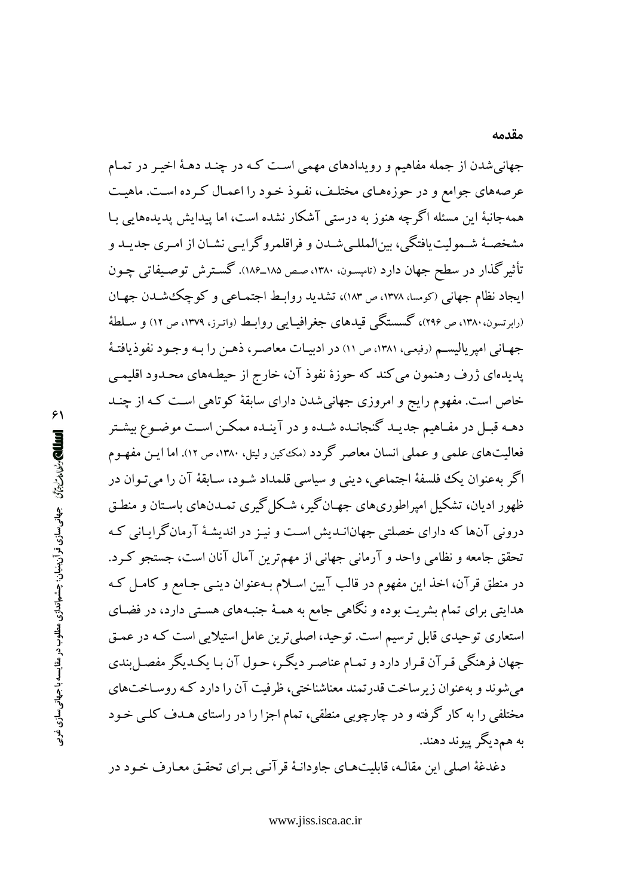جهاني شدن از جمله مفاهيم و رويدادهاي مهمي است كـه در چنـد دهـهٔ اخيـر در تمـام عرصههای جوامع و در حوزههـای مختلـف، نفـوذ خـود را اعمـال کـرده اسـت. ماهيـت همهجانبهٔ این مسئله اگرچه هنوز به درستی آشکار نشده است، اما پیدایش پدیدههایی بـا مشخصـهٔ شـمولیت یافتگی، بینالمللـی شـدن و فراقلمروگرایـی نشـان از امـری جدیـد و تأثیرگذار در سطح جهان دارد (تامپسون، ۱۳۸۰، صص ۱۸۵\_۱۸۶). گسترش توصیفاتی چـون ایجاد نظام جهانی (کومسا، ۱۳۷۸، ص ۱۸۳)، تشدید روابط اجتمـاعی و کوچک شـدن جهـان (رابرتسون، ۱۳۸۰، ص ۲۹۶)، گسستگی قیدهای جغرافیـایی روابـط (واتـرز، ۱۳۷۹، ص ۱۲) و سـلطهٔ جهـاني امپرياليسـم (رفيعي، ١٣٨١، ص ١١) در ادبيـات معاصـر، ذهـن را بـه وجـود نفوذيافتـهٔ پدیدهای ژرف رهنمون می کند که حوزهٔ نفوذ آن، خارج از حیطـههای محـدود اقلیمـی خاص است. مفهوم رایج و امروزی جهانیشدن دارای سابقهٔ کوتاهی است کـه از چنـد دهـه قبــل در مفــاهيم جديــد گنجانــده شــده و در آينــده ممكــن اســت موضــوع بيشــتر فعالیتهای علمی و عملی انسان معاصر گردد (مک کین و لیتل، ۱۳۸۰، ص ۱۲). اما ایـن مفهـوم اگر بهعنوان يک فلسفهٔ اجتماعي، ديني و سياسي قلمداد شـود، سـابقهٔ آن را ميتـوان در ظهور ادیان، تشکیل امیراطوریهای جهـانگیر، شـکل گیری تمـدنهای باسـتان و منطـق درونی آنها که دارای خصلتی جهانانـدیش اسـت و نیـز در اندیشـهٔ آرمانگرایـانی کـه تحقق جامعه و نظامی واحد و آرمانی جهانی از مهمترین آمال آنان است، جستجو کـرد. در منطق قرآن، اخذ این مفهوم در قالب آیین اسلام بـهعنوان دینـی جـامع و کامـل کـه هدایتی برای تمام بشریت بوده و نگاهی جامع به همـهٔ جنبـههای هسـتی دارد، در فضـای استعاری توحیدی قابل ترسیم است. توحید، اصلی ترین عامل استیلایی است کـه در عمـق جهان فرهنگی قـرآن قـرار دارد و تمـام عناصـر دیگـر، حـول آن بـا یکـدیگر مفصـل بندی میشوند و بهعنوان زیرساخت قدرتمند معناشناختی، ظرفیت آن را دارد که روسـاختهای مختلفی را به کار گرفته و در چارچوبی منطقی، تمام اجزا را در راستای هـدف کلـی خـود به همډيگر پيوند دهند.

دغدغهٔ اصلی این مقالـه، قابلیتهـای جاودانـهٔ قر آنـی بـرای تحقـق معـارف خـود در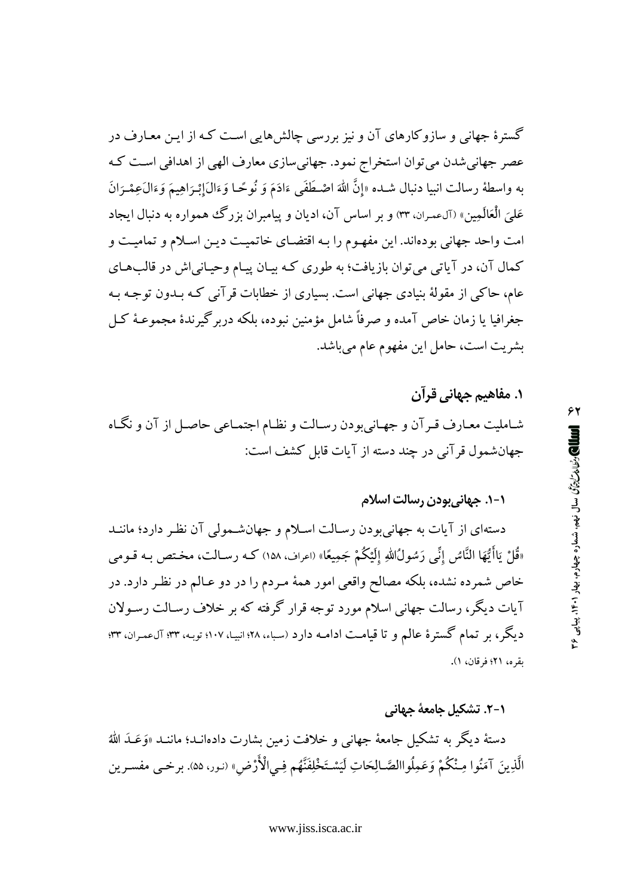گسترهٔ جهانی و سازوکارهای آن و نیز بررسی چالش هایی است کـه از ایـن معـارف در عصر جهاني شدن مي توان استخراج نمود. جهاني سازي معارف الهي از اهدافي است كـه به واسطهٔ رسالت انبیا دنبال شـده «إنَّ اللهَ اصْـطَفَى ءَادَمَ وَ نُوحًـا وَءَالَ}ِبْـرَاهِيـمَ وَءَالَءِسْـرَانَ عَلَّيَ الْعَالَمِينِ» (آلءمران، ٣٣) و بر اساس آن، اديان و پيامبران بزرگ همواره به دنبال ايجاد امت واحد جهانی بودهاند. این مفهـوم را بـه اقتضـای خاتمیـت دیـن اسـلام و تمامیـت و کمال آن، در آیاتی می توان بازیافت؛ به طوری کـه بیـان پیـام وحیـانی|ش در قالبهـای عام، حاکی از مقولهٔ بنیادی جهانی است. بسیاری از خطابات قرآنی کـه بـدون توجـه بـه جغرافیا یا زمان خاص آمده و صرفاً شامل مؤمنین نبوده، بلکه دربرگیرندهٔ مجموعـهٔ کـل بشريت است، حامل اين مفهوم عام ميباشد.

۱. مفاهیم جهانی قرآن شـاملیت معـارف قـرآن و جهـانيبودن رسـالت و نظـام اجتمـاعي حاصـل از آن و نگـاه جهان شمول قرآني در چند دسته از آيات قابل كشف است:

## ١-١. جهانيبودن رسالت اسلام

دستهای از آیات به جهانیبودن رسالت اسلام و جهانشمولی آن نظر دارد؛ ماننـد «قُلْ يَاأَيُّهَا النَّاسُ إنِّي رَسُولُ اللهِ إلَيْكُمْ جَمِيعًا» (اعراف، ١٥٨) كــه رسـالت، مخـتص بـه قــومي خاص شمرده نشده، بلکه مصالح واقعی امور همهٔ مـردم را در دو عـالم در نظـر دارد. در آیات دیگر، رسالت جهانی اسلام مورد توجه قرار گرفته که بر خلاف رسـالت رسـولان ديگر، بر تمام گسترهٔ عالم و تا قيامت ادامـه دارد (سباء، ٢٨؛ انبيـا، ١٠٧؛ توبـه، ٣٣؛ آلءمـران، ٣٣؛ ىقرە، ٢١؛ فرقان، ١).

دستهٔ دیگر به تشکیل جامعهٔ جهانی و خلافت زمین بشارت دادهانـد؛ ماننـد «وَعَـدَ الله الَّذِينَ آمَنُوا مِـنْكُمْ وَعَمِلُواالصَّـالِحَاتِ لَيَسْتَخْلِفَنَّهُم فِـي|لْأَرْضِ» (نـور، ۵۵). برخـى مفسـرين

١-٢. تشكيل جامعهٔ جهاني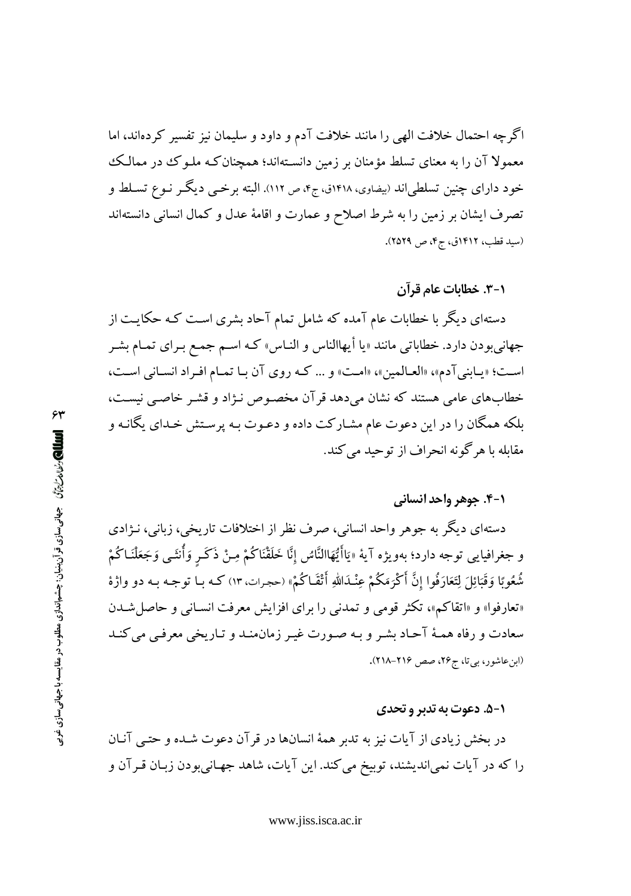اگرچه احتمال خلافت الهی را مانند خلافت آدم و داود و سلیمان نیز تفسیر کردهاند، اما معمولا آن را به معنای تسلط مؤمنان بر زمین دانسـتهاند؛ همچنان کـه ملـو کـُ در ممالـک خود دارای چنین تسلطیاند (بیضاوی، ۱۴۱۸ق، ج۴، ص ۱۱۲). البته برخمی دیگـر نــوع تســلط و تصرف ایشان بر زمین را به شرط اصلاح و عمارت و اقامهٔ عدل و کمال انسانی دانستهاند (سید قطب، ۱۴۱۲ق، ج۴، ص ۲۵۲۹).

۰۱–۳. خطابات عام قرآن

دستهای دیگر با خطابات عام آمده که شامل تمام آحاد بشری است کـه حکایـت از جهانیبودن دارد. خطاباتی مانند «یا أیهاالناس و النـاس» کـه اسـم جمـع بـرای تمـام بشـر است؛ «پبابني آدم»، «العبالمين»، «امت» و … كـه روى آن بيا تميام افيراد انسياني است، خطابهای عامی هستند که نشان میدهد قرآن مخصوص نـژاد و قشـر خاصـی نیسـت، بلکه همگان را در این دعوت عام مشـارکت داده و دعـوت بـه پرسـتش خـداي يگانـه و مقابله با هرگونه انحراف از توحید میکند.

#### **۱-۴. جوهر واحد انسانی**

دستهای دیگر به جوهر واحد انسانی، صرف نظر از اختلافات تاریخی، زبانی، نـژادی و جغرافيايي توجه دارد؛ بهويژه آيهْ «يَاأَيُّهَاالنَّاسُ إنَّا خَلَقْنَاكُمْ مِـنْ ذَكَـرٍ وَأُنتَـى وَجَعَلْنَـاكُمْ شُعُوبًا وَقَبَائِلَ لِتَعَارَفُوا إِنَّ أَكْرَمَكُمْ عِنْـلَاللّٰهِ أَتْقَـاكُمْ» (حجرات، ١٣) كـه بـا توجـه بـه دو واژهٔ «تعارفوا» و «اتقاكم»، تكثر قومي و تمدني را براي افزايش معرفت انسـاني و حاصل شـدن سعادت و رفاه همـهٔ آحـاد بشـر و بـه صـورت غيـر زمان.منـد و تـاريخي معرفـي مي كنـد (ابن عاشور، بی تا، ج ٢۶، صص ٢١۶-٢١٨).

#### **۱-۵. دعوت به تدبر و تحدی**

در بخش زیادی از آیات نیز به تدبر همهٔ انسانها در قر آن دعوت شـده و حتـم ا آخان را که در آیات نمیاندیشند، توبیخ می کند. این آیات، شاهد جهـانیبودن زبـان قـرآن و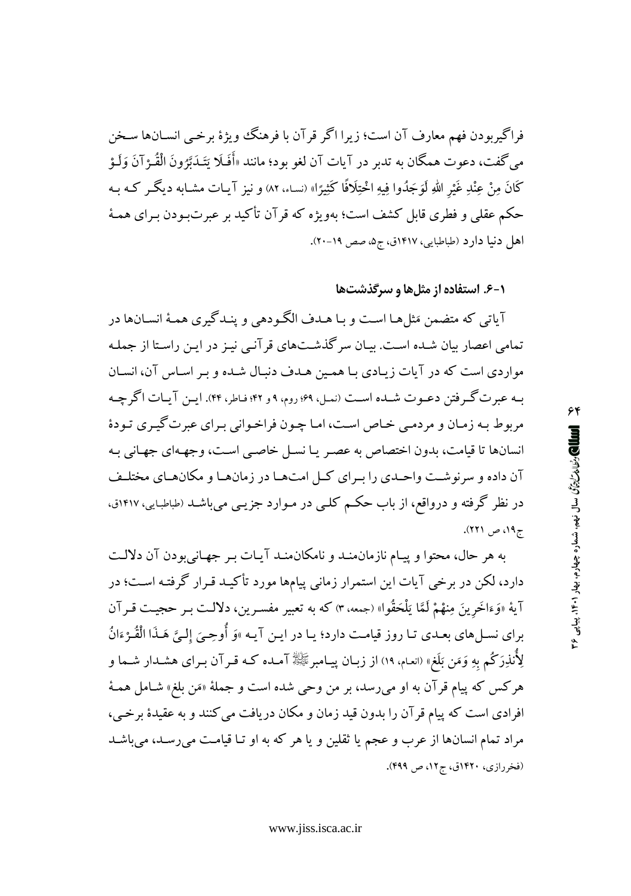فراگيربودن فهم معارف آن است؛ زيرا اگر قرآن با فرهنگ ويژهٔ برخـي انسـانها سـخن می گفت، دعوت همگان به تدبر در آیات آن لغو بود؛ مانند «أَفَلَا يَتَـٰدَبَّرُونَ الْقُـرْآنَ وَلَـوْ كَانَ مِنْ عِنْدِ غَيْرِ اللهِ لَوَجَدُوا فِيهِ اخْتِلَافًا كَثِيرًا» (نساء، ٨٢) و نيز آيـات مشـابه ديگــر كــه بــه حکم عقلی و فطری قابل کشف است؛ بهویژه که قرآن تأکید بر عبرتبودن بـرای همـهٔ اهل دنیا دارد (طباطبایی، ۱۴۱۷ق، ج۵، صص ۱۹-۲۰).

۰-۶. استفاده از مثلها و سرگذشتها

آیاتی که متضمن مَثلها است و بـا هــدف الگـودهی و ینــدگیری همـهٔ انســانها در تمامی اعصار بیان شـده اسـت. بیـان سر گذشـتهای قر آنـی نیـز در ایـن راسـتا از جملـه مواردی است که در آیات زیادی با همین هـدف دنبـال شـده و بـر اسـاس آن، انسـان بـه عبرت گـرفتن دعـوت شـده اسـت (نمـل، ۶۹؛ روم، ۹ و ۴۲؛ فـاطر، ۴۴). ايـن آيـات اگر چـه مربوط بـه زمـان و مردمـي خـاص اسـت، امـا چـون فراخـواني بـراي عبرت گيـري تـودهٔ انسانها تا قیامت، بدون اختصاص به عصر یا نسل خاصبی است، وجههای جهانی به آن داده و سرنوشت واحـدي را بـراي كـل امتهـا در زمانهـا و مكانهـاي مختلـف در نظر گرفته و درواقع، از باب حکـم کلـی در مـوارد جزیـی میباشـد (طباطبـایی، ۱۴۱۷ق، ج ۱۹، ص ۲۲۱).

به هر حال، محتوا و ييـام نازمان منـد و نامكان منـد آيـات بـر جهـاني بودن آن دلالـت دارد، لکن در برخی آیات این استمرار زمانی پیامها مورد تأکیـد قـرار گرفتـه اسـت؛ در آية «وَءَاخَرِينَ مِنهْمْ لَمَّا يَلْحَقُوا» (جمعه، ٣) كه به تعبير مفسـرين، دلالـت بـر حجيـت قـرآن براي نسـلهاي بعـدي تـا روز قيامـت دارد؛ يـا در ايـن آيـه »وَ أُوحِـيَ إلـيَّ هَـذَا الْقُـرْءَانُ لِأُنذِرَكُم بِهِ وَمَن بَلَغٍ» (انعـام. ١٩) از زبـان پيــامبرﷺ آمــده كــه قــرآن بــراى هشــدار شــما و هرکس که پیام قرآن به او م<sub>ی</sub>رسد، بر من وحی شده است و جملهٔ «مَن بلغ» شـامل همـهٔ افرادي است كه پيام قرآن را بدون قيد زمان و مكان دريافت مي كنند و به عقيدهٔ برخبي، مراد تمام انسانها از عرب و عجم یا ثقلین و یا هر که به او تـا قیامـت می رسـد، می باشـد (فخررازي، ١٤٢٠ق، ج١٢، ص ٤٩٩).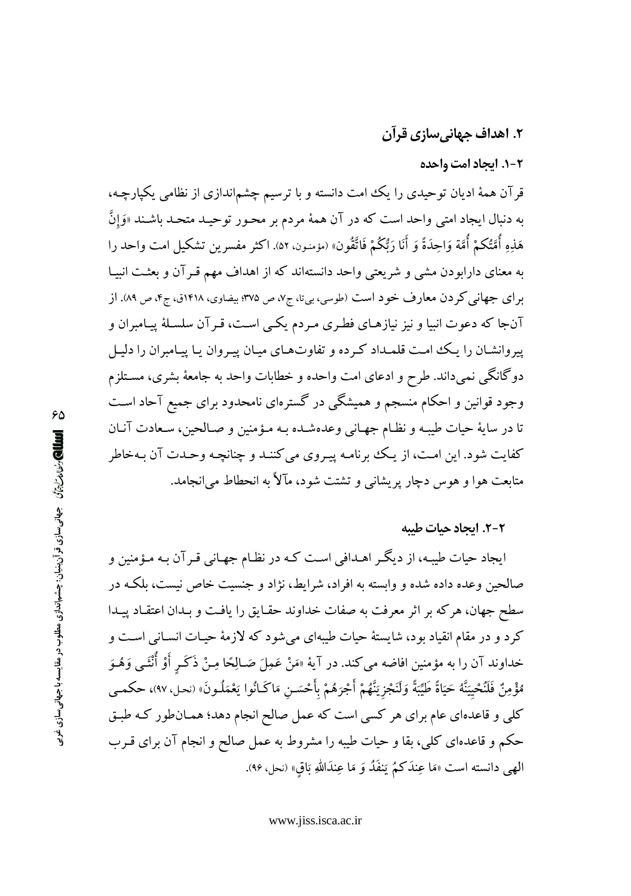# ۲. اهداف جهانیسازی قرآن

۰-۲ ایجاد امت واحده

قرآن همهٔ ادیان توحیدی را یک امت دانسته و با ترسیم چشماندازی از نظامی یکپارچه، به دنبال ایجاد امت<sub>ی</sub> واحد است که در آن همهٔ مردم بر محـور توحیـد متحـد باشـند «وَإِنَّ هَذِهِ أُمَّتُكُمْ أُمَّة وَاحِدَةً وَ أَنَا رَبُّكُمْ فَاتَّقُونَ» (مؤمنون، ٥٢). اكثر مفسرين تشكيل امت واحد را به معنای دارابودن مشی و شریعتی واحد دانستهاند که از اهداف مهم قـرآن و بعثـت انبیـا برای جهانی کردن معارف خود است (طوسی، بیتا، ج۷، ص ۳۷۵؛ بیضاوی، ۱۴۱۸ق، ج۴، ص ۸۹). از آنجا که دعوت انبیا و نیز نیازهـای فطـری مـردم یکـی اسـت، قـرآن سلسـلهٔ پیـامبران و پیروانشـان را یـک امـت قلمـداد کـرده و تفاوتهـای میـان پیـروان یـا پیـامبران را دلیـل دوگانگی نمیداند. طرح و ادعای امت واحده و خطابات واحد به جامعهٔ بشری، مستلزم وجود قوانین و احکام منسجم و همیشگی در گسترهای نامحدود برای جمیع آحاد است تا در سايهٔ حيات طيبـه و نظـام جهـاني وعدهشـده بـه مـؤمنين و صـالحين، سـعادت آنـان كفايت شود. اين امت، از يك برنامـه پيـروي مي كننـد و چنانچـه وحـدت آن بـهخاطر متابعت هوا و هوس دچار پریشانی و تشتت شود، مآلاً به انحطاط می انجامد.

## ٢-٢. اتحاد حيات طيبه

ایجاد حیات طیبه، از دیگـر اهـدافی اسـت کـه در نظـام جهـانی قـرآن بـه مـؤمنین و صالحین وعده داده شده و وابسته به افراد، شرایط، نژاد و جنسیت خاص نیست، بلکـه در سطح جهان، هركه بر اثر معرفت به صفات خداوند حقـايق را يافـت و بـدان اعتقـاد پيـدا کرد و در مقام انقیاد بود، شایستهٔ حیات طیبهای میشود که لازمهٔ حیـات انسـانی اسـت و خداوند آن را به مؤمنين افاضه مي كند. در آيهٔ «مَنْ عَمِلَ صَـالِحًا مِـنْ ذَكَـرٍ أَوْ أُنْثَـى وَهُـوَ مُؤْمِنٌ فَلَنُحْيِيَنَّهُ حَيَاةً طَيِّبَةً وَلَنَجْزِيَنَّهُمْ أَجْرَهُمْ بِأَحْسَنِ مَاكَـانُوا يَعْمَلُـونَ» (نحل، ٩٧)، حكمـي کلی و قاعدهای عام برای هر کسی است که عمل صالح انجام دهد؛ همـان طور کـه طبـق حکم و قاعدهای کلی، بقا و حیات طیبه را مشروط به عمل صالح و انجام آن برای قـرب الهي دانسته است «مَا عِندَكُمُ يَنفَدُ وَ مَا عِندَاللهِ بَاقِ» (نحل، ٩۶).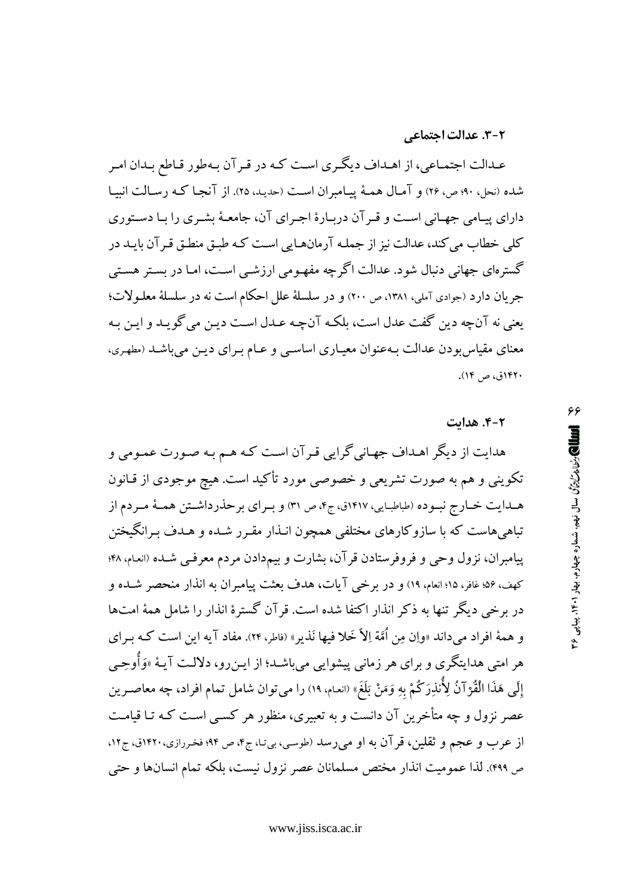#### 2-3. عدالت اجتماعي

عـدالت اجتمـاعي، از اهـداف ديگـري اسـت كـه در قـر آن بـهطور قـاطع بـدان امـر شده (نحل، ۹۰؛ ص، ۲۶) و آمـال همـهٔ پیـامبران اسـت (حدیـد، ۲۵). از آنجـا کـه رسـالت انبیـا دارای پیامی جهـانی اسـت و قـر آن دربـارهٔ اجـرای آن، جامعـهٔ بشـری را بـا دسـتوری کلی خطاب می کند، عدالت نیز از جملـه آرمانهـایی اسـت کـه طبـق منطـق قـر آن بایـد در گسترهای جهانی دنبال شود. عدالت اگرچه مفهـومی ارزشـی اسـت، امـا در بسـتر هسـتی جريان دارد (جوادي آملي، ١٣٨١، ص ٢٠٠) و در سلسلة علل احكام است نه در سلسلة معلـولات؛ يعني نه آنچه دين گفت عدل است، بلكـه آنچـه عـدل اسـت ديـن مي گويـد و ايـن بـه معنای مقیاس بودن عدالت بـهعنوان معیـاری اساسـی و عـام بـرای دیـن می باشـد (مطهـری، ۱۴۲۰ق، ص ۱۴).

#### ۴-۲. هدایت

هدایت از دیگر اهـداف جهـاني گرايي قـرآن اسـت كـه هـم بـه صـورت عمـومي و تکوینی و هم به صورت تشریعی و خصوصی مورد تأکید است. هیچ موجودی از قـانون هـدايت خـارج نبـوده (طباطبـايي، ١٤١٧ق، ج۴، ص ٣١) و بـراي برحذرداشـتن همـهٔ مـردم از تباهی هاست که با سازوکارهای مختلفی همچون انـذار مقـرر شـده و هـدف بـرانگیختن پیامبران، نزول وحی و فروفرستادن قرآن، بشارت و بیمدادن مردم معرفـی شـده (انعـام، ۴۸؛ كهف، ۵۶؛ غافر، ۱۵؛ انعام، ۱۹) و در برخي آيات، هدف بعثت پيامبران به انذار منحصر شـده و در برخی دیگر تنها به ذکر انذار اکتفا شده است. قر آن گسترهٔ انذار را شامل همهٔ امتها و همهٔ افراد میداند «واِن مِن اُمَّة اِلاّ خَلا فیها نَذیر» (فاطر، ۲۴). مفاد آیه این است کـه بـرای هر امتی هدایتگری و برای هر زمانی پیشوایی می<sub>ا</sub>بشد؛ از ایـن٫و، دلالـت آیـهٔ «وَأُوحِــ<sub>ٌ ،</sub> إِلَى هَذَا الْقُرْآنُ لِأَنْذِرَكُمْ بِهِ وَمَنْ بَلَغَ» (انعام، ١٩) را مي توان شامل تمام افراد، چه معاصـرين عصر نزول و چه متأخرین آن دانست و به تعبیری، منظور هر کسبی است کـه تـا قیامـت از عرب و عجم و ثقلین، قر آن به او میررسد (طوسی، بیتا، ج۴، ص ۹۴؛ فخررازی، ۱۴۲۰ق، ج۱۲. ص ۴۹۹). لذا عمومیت انذار مختص مسلمانان عصر نزول نیست، بلکه تمام انسانها و حتی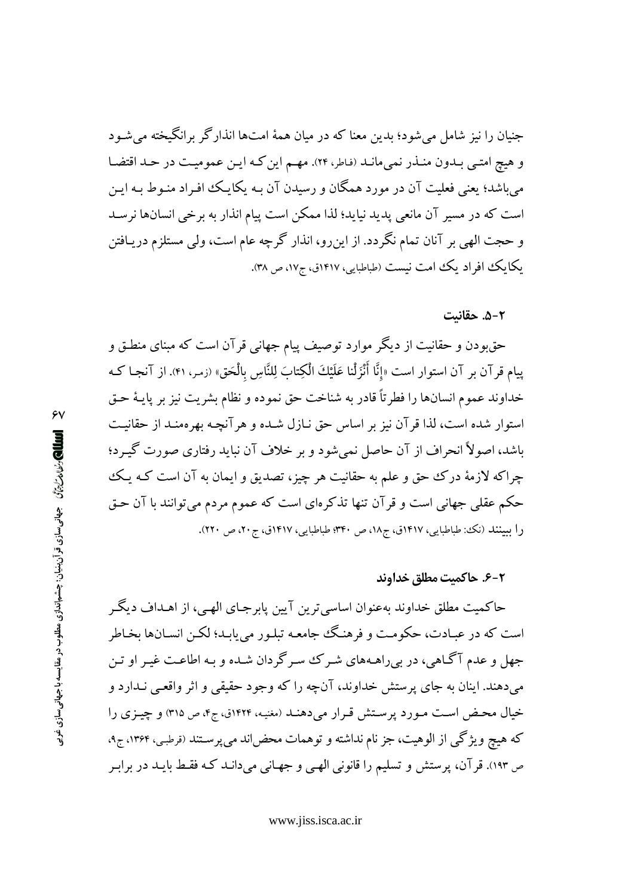جنیان را نیز شامل میشود؛ بدین معنا که در میان همهٔ امتها انذارگر برانگیخته می شـود و هيچ امتـي بـدون منـذر نمي،انـد (فاطر، ٢٢). مهـم اين كـه ايـن عموميـت در حـد اقتضـا می باشد؛ یعنی فعلیت آن در مورد همگان و رسیدن آن بـه یکایـک افـراد منـوط بـه ایـن است که در مسیر آن مانعی پدید نیاید؛ لذا ممکن است پیام انذار به برخی انسانها نرسـد و حجت الهي بر آنان تمام نگردد. از اين٫رو، انذار گرچه عام است، ولي مستلزم دريـافتن یکایک افراد یک امت نیست (طباطبایی، ۱۴۱۷ق، ج۱۷، ص ۳۸).

۵-۲. حقانیت

حقءِ دن و حقانیت از دیگر موارد توصیف پیام جهانی قرآن است که مبنای منطـق و پیام قرآن بر آن استوار است «إنَّا أَنْزَلْنا عَلَيْكَ الْكِتابَ لِلنَّاسِ بِالْحَقِّ» (زمـر، ۴۱). از آنجـا كـه خداوند عموم انسانها را فطرتاً قادر به شناخت حق نموده و نظام بشريت نيز بر پايـهٔ حـق استوار شده است، لذا قر آن نیز بر اساس حق نـازل شـده و هر آنچـه بهرهمنـد از حقانیـت باشد، اصولاً انحراف از آن حاصل نمیشود و بر خلاف آن نباید رفتاری صورت گیـرد؛ چراکه لازمهٔ درک حق و علم به حقانیت هر چیز، تصدیق و ایمان به آن است کـه یـک حکم عقلی جهانی است و قرآن تنها تذکرهای است که عموم مردم میتوانند با آن حـق را ببینند (نک: طباطبایی، ۱۴۱۷ق، ج۱۸، ص ۳۴۰؛ طباطبایی، ۱۴۱۷ق، ج۲۰، ص ۲۲۰).

#### ۶-۶. حاكميت مطلق خداوند

حاکمیت مطلق خداوند بهعنوان اساسی ترین آیین پابرجـای الهـی، از اهـداف دیگـر است که در عبـادت، حکومـت و فرهنـگ جامعـه تبلـور مي يابـد؛ لکـن انســانها بخـاطر جهل و عدم آگاهي، در بيراهـههاي شـرک سـرگردان شـده و بـه اطاعـت غيـر او تـن مي دهند. اينان به جاي پرستش خداوند، آنچه را كه وجود حقيقي و اثر واقعي نـدارد و خیال محض است مورد پرستش قرار میدهنـد (مغنیه، ۱۴۲۴ق، ج۴، ص ۳۱۵) و چیـزی را که هیچ ویژگی از الوهیت، جز نام نداشته و توهمات محضlند میپرستند (قرطبی، ۱۳۶۴، ج۹، ص ۱۹۳). قرآن، پرستش و تسلیم را قانونی الهی و جهـانی میدانـد کـه فقـط بایـد در برابـر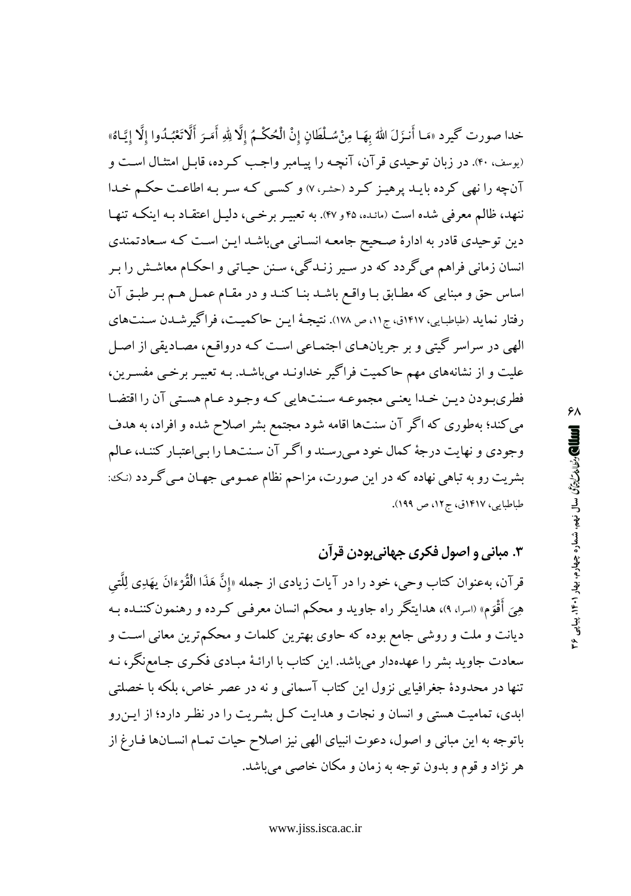خدا صورت گيرد «مَـا أَنـزَلَ اللهُ بهَـا مِنْ سُـلْطَانٍ إنْ الْحُكْـمُ إلَّا لِلهِ أَمَـرَ أَلَّاتَعْبُـدُوا إلَّا إيَّـاهُ» (پوسف، ۴۰). در زبان توحیدی قر آن، آنچـه را پیـامبر واجـب کـرده، قابـل امتثـال اسـت و آنچه را نهی کرده بایـد پرهیـز کـرد (حشر،۷) و کسـی کـه سـر بـه اطاعـت حکـم خـدا ننهد، ظالم معرفی شده است (مائده، ۴۵ و ۴۷). به تعبیـر برخـی، دلیـل اعتقـاد بـه اینکـه تنهـا دین توحیدی قادر به ادارهٔ صحیح جامعه انسانی میباشد این است که سعادتمندی انسان زمانی فراهم میگردد که در سیر زنـدگی، سـنن حیـاتی و احکـام معاشـش را بـر اساس حق و مبنایی که مطـابق بـا واقـع باشـد بنـا کنـد و در مقـام عمـل هـم بـر طبـق آن رفتار نماید (طباطبایی، ۱۴۱۷ق، ج۱۱، ص ۱۷۸). نتیجهٔ ایـن حاکمیـت، فراگیرشـدن سـنتهای الهی در سراسر گیتی و بر جریانهـای اجتمـاعی اسـت کـه درواقـع، مصـادیقی از اصـل علیت و از نشانههای مهم حاکمیت فراگیر خداونـد میباشـد. بـه تعبیـر برخـی مفسـرین، فطري بودن ديـن خـدا يعنـي مجموعـه سـنتهايي كـه وجـود عـام هسـتي آن را اقتضـا می کند؛ بهطوری که اگر آن سنتها اقامه شود مجتمع بشر اصلاح شده و افراد، به هدف وجودي و نهايت درجهٔ كمال خود مىرسند و اگر آن سنتها را بى اعتبار كنند، عـالم بشریت رو به تباهی نهاده که در این صورت، مزاحم نظام عمـومی جهـان مـی گـردد (نـک: طباطبايي، ١٤١٧ق، ج١٢، ص ١٩٩).

۳. مبانی و اصول فکری جهانیبودن قرآن

قرآن، بهعنوان كتاب وحي، خود را در آيات زيادي از جمله «إنَّ هَذَا الْقُرْءَانَ يهَدِي لِلَّتِي هِيَ أُقْوَم» (اسرا، ٩)، هدايتگر راه جاويد و محكم انسان معرفـي كـرده و رهنمون كننــده بـه دیانت و ملت و روشی جامع بوده که حاوی بهترین کلمات و محکم ترین معانی است و سعادت جاوید بشر را عهدهدار میباشد. این کتاب با ارائـهٔ مبـادی فکـری جـامعنگر، نـه تنها در محدودهٔ جغرافیایی نزول این کتاب آسمانی و نه در عصر خاص، بلکه با خصلتی ابدی، تمامیت هستی و انسان و نجات و هدایت کـل بشـریت را در نظـر دارد؛ از ایـن رو باتوجه به این مبانی و اصول، دعوت انبیای الهی نیز اصلاح حیات تمـام انسـانها فـارغ از هر نژاد و قوم و بدون توجه به زمان و مکان خاصبی می باشد.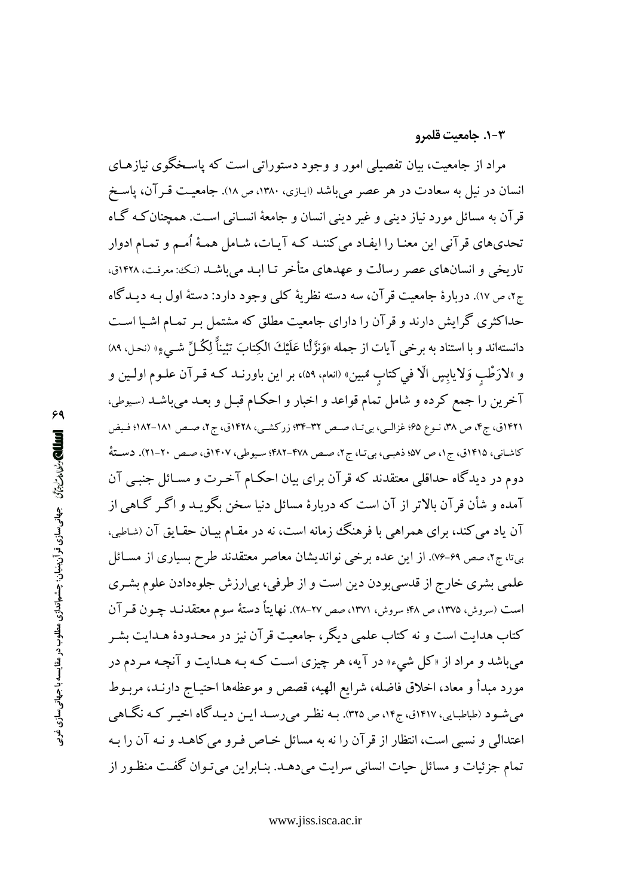#### ٠-٣. جامعيت قلمرو

مراد از جامعیت، بیان تفصیلی امور و وجود دستوراتی است که پاسـخگوی نیازهـای انسان در نیل به سعادت در هر عصر میباشد (ایـازی، ۱۳۸۰، ص ۱۸). جامعیـت قـرآن، پاسـخ قرآن به مسائل مورد نیاز دینبی و غیر دینبی انسان و جامعهٔ انسـانبی اسـت. همچنان کـه گـاه تحدیهای قرآنی این معنـا را ایفـاد میکننـد کـه آیـات، شـامل همـهٔ اُمـم و تمـام ادوار تاریخی و انسانهای عصر رسالت و عهدهای متأخر تـا ابـد می باشـد (نـک: معرفـت، ۱۴۲۸ق، ج۲، ص١٧). دربارهٔ جامعیت قر آن، سه دسته نظریهٔ کلبی وجود دارد: دستهٔ اول بـه دیـدگاه حداکثری گرایش دارند و قر آن را دارای جامعیت مطلق که مشتمل بـر تمـام اشـیا اسـت دانستهاند و با استناد به برخي آيات از جمله «وَنزَّلْنا عَلَيْكَ الكِتابَ تَثِيناً لِكُماحٌ شـبيءٍ» (نحل، ٨٩) و «لارَطْبِ وَلايابِسِ الَّا في كتابٍ مُبينِ» (انعام، ٥٩)، بر اين باورنــد كــه قــرآن علــوم اولــين و آخرین را جمع کرده و شامل تمام قواعد و اخبار و احکـام قبـل و بعـد میباشـد (سـيوطى، ۱۴۲۱ق، ج۴، ص ۳۸، نـوع ۶۵؛ غزالـی، بی تـا، صـص ۳۲-۳۴؛ زرکشـی، ۱۴۲۸ق، ج۲، صـص ۱۸۱–۱۸۲؛ فـیض کاشـانی، ۱۴۱۵ق، ج۱، ص ۵۷؛ ذهبـی، بی تـا، ج۲، صـص ۴۷۸–۴۸۲؛ سـیوطی، ۱۴۰۷ق، صـص ۲۰-۲۱). دسـتهٔ دوم در دیدگاه حداقلبی معتقدند که قرآن برای بیان احکـام آخـرت و مسـائل جنبـی آن آمده و شأن قرآن بالاتر از آن است که دربارهٔ مسائل دنیا سخن بگویـد و اگـر گـاهـی از آن یاد می کند، برای همراهی با فرهنگ زمانه است، نه در مقـام بیـان حقـایق آن (شـاطبی، بیتا، ج۲، صص ۶۹-۷۶). از این عده برخی نواندیشان معاصر معتقدند طرح بسیاری از مسـائل علمي بشري خارج از قدسي بودن دين است و از طرفي، بي|رزش جلوهدادن علوم بشـري است (سروش، ۱۳۷۵، ص ۴۸؛ سروش، ۱۳۷۱، صص ۲۷–۲۸). نهایتاً دستهٔ سوم معتقدنــد چــون قــر آن کتاب هدایت است و نه کتاب علمی دیگر، جامعیت قرآن نیز در محـدودهٔ هـدایت بشـر میباشد و مراد از «کل شیء» در آیه، هر چیزی است کـه بـه هـدایت و آنچـه مـردم در مورد مبدأ و معاد، اخلاق فاضله، شرايع الهيه، قصص و موعظهها احتيـاج دارنـد، مربـوط میشود (طباطبایی، ۱۴۱۷ق، ج۱۴، ص ۳۲۵). بـه نظـر می(سـد ایـن دیـدگاه اخیـر کـه نگـاهـ <sub>،</sub> اعتدالي و نسبي است، انتظار از قرآن را نه به مسائل خـاص فـرو مي كاهـد و نـه آن را بـه تمام جزئیات و مسائل حیات انسانی سرایت میدهـد. بنـابراین میتـوان گفـت منظـور از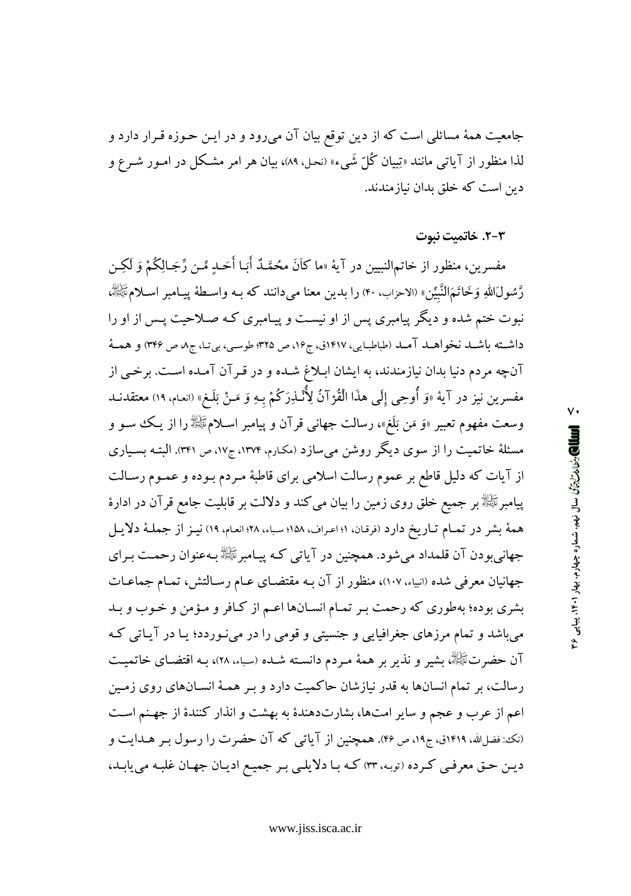جامعیت همهٔ مسائلی است که از دین توقع بیان آن میرود و در ایـن حـوزه قـرار دارد و لذا منظور از آیاتی مانند «تِبیان کُلّ شَییء» (نحل، ۸۹، بیان هر امر مشکل در امـور شـرع و دين است كه خلق بدان نيازمندند.

#### ۰۳-۲. خاتمىت نبوت

مفسرين، منظور از خاتم\لنبيين در آيهٔ «ما كاَنَ محُمَّـٰدٌ أَبَـا أَحَــٰدٍ مِّـن رِّجَـالِكُمْ وَ لَكِـن رَّسُولَاللَّهِ وَخَاتَمَالنَّبَيِّنَّ» (الاحزاب، ۴۰) را بدين معنا ميدانند كه بـه واسـطهٔ پيـامبر اسـلامﷺ، نبوت ختم شده و دیگر پیامبری پس از او نیست و پیامبری کـه صـلاحیت پـس از او را داشته باشـد نخواهـد آمـد (طباطبايي، ١٤١٧ق، ج١۶، ص ٣٢۵؛ طوسـي، بي تـا، ج٨ ص ٣٤۶) و همـهُ آنچه مردم دنیا بدان نیازمندند، به ایشان ابـلاغ شـده و در قـرآن آمـده اسـت. برخـی از مفسرين نيز در آية «وَ أُوحِي إِلَى هذَا الْقُرْآنُ لِأُنْــٰذِرَكُمْ بِـهِ وَ مَـنْ بَلَــٰم» (انعـام، ١٩) معتقدنــد وسعت مفهوم تعبير «وَ مَن بَلَغ»، رسالت جهاني قرآن و پيامبر اسـلامﷺ را از يـك سـو و مسئلهٔ خاتمیت را از سوی دیگر روشن میسازد (مکارم، ۱۳۷۴، ج۱۷، ص ۳۴۱). البتـه بسـیاری از آیات که دلیل قاطع بر عموم رسالت اسلامی برای قاطبهٔ مـردم بـوده و عمـوم رسـالت پیامبرﷺ بر جمیع خلق روی زمین را بیان می کند و دلالت بر قابلیت جامع قرآن در ادارهٔ همهٔ بشر در تمـام تـاريخ دارد (فرقـان، ۱؛ اعـراف، ۱۵۸؛ سباء، ۲۸؛ انعـام، ۱۹) نيـز از جملـهٔ دلايـل جهانیبودن آن قلمداد میشود. همچنین در آیاتی کـه پیـامبرﷺ بـهعنوان رحمـت بـرای جهانیان معرفی شده (انبیاء، ۱۰۷)، منظور از آن بـه مقتضـای عـام رسـالتش، تمـام جماعـات بشري بوده؛ بهطوري كه رحمت بـر تمـام انسـانها اعـم از كـافر و مـؤمن و خـوب و بـد می باشد و تمام مرزهای جغرافیایی و جنسیتی و قومی را در می نوردد؛ یـا در آیـاتی کـه آن حضرتﷺ، بشیر و نذیر بر همهٔ مـردم دانسـته شـده (سباء، ٢٨)، بـه اقتضـای خاتمیـت رسالت، بر تمام انسانها به قدر نیازشان حاکمیت دارد و بـر همـهٔ انسـانهای روی زمـین اعم از عرب و عجم و سایر امتها، بشارتدهندهٔ به بهشت و انذار کنندهٔ از جهنم است (نک: فضل الله، ۱۹۱۹ق، ج۱۹، ص ۴۶). همچنین از آیاتی که آن حضرت را رسول بـر هــدایت و دین حتی معرفی کرده (توبه، ۳۳) کـه بـا دلایلـی بـر جمیـع ادیـان جهـان غلبـه می یابـد،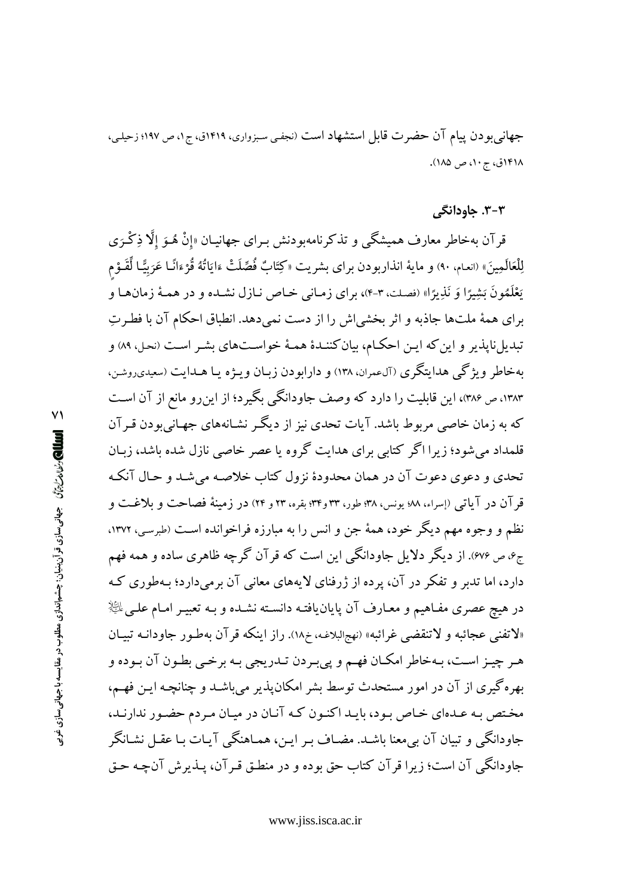جهانی بودن پیام آن حضرت قابل استشهاد است (نجفی سبزواری، ۱۴۱۹ق، ج۱، ص ۱۹۷؛ زحیلی، ۱۴۱۸ق، ج ۱۰، ص ۱۸۵).

#### ۳-۳. جاودانگی

قرآن بهخاطر معارف همیشگی و تذکرنامهبودنش بـرای جهانیــان «إنْ هُــوَ إلَّا ذِكْـرَى لِلْعَالَمِينَ» (انعـام، ٩٠) و مايهٔ انذاربودن براى بشريت «كِتَابٌ فُصِّلَتْ ءَايَاتُهُ قُرْءَانًـا عَرَبيًّـا لِّقَـوْم يَعْلَمُونَ بَشِيرًا وَ نَذِيرًا» (فصلت، ٣-۴)، براي زمـاني خـاص نـازل نشـده و در همـهٔ زمانهـا و براي همهٔ ملتها جاذبه و اثر بخشي ش را از دست نمي دهد. انطباق احکام آن با فطـرتِ تبدیل ناپذیر و این که ایـن احکـام، بیان کننـدهٔ همـهٔ خواسـتهای بشـر اسـت (نحـل، ۸۹) و بهخاطر ویژگی هدایتگری (آلءمران، ۱۳۸) و دارابودن زبان ویـژه یـا هـدایت (سعیدیروشن، ۱۳۸۳، ص ۳۸۶)، این قابلیت را دارد که وصف جاودانگی بگیرد؛ از اینرو مانع از آن است که به زمان خاصی مربوط باشد. آیات تحدی نیز از دیگر نشـانههای جهـانی,بودن قـرآن قلمداد می شود؛ زیرا اگر کتابی برای هدایت گروه یا عصر خاصی نازل شده باشد، زبـان تحدی و دعوی دعوت آن در همان محدودهٔ نزول کتاب خلاصه می شد و حـال آنکـه قو آن در آیاتی (إسراء، ٧٨؛ یونس، ٣٨؛ طور، ٣٣ و٣٣؛ بقره، ٢٣ و ٢۴) در زمینهٔ فصاحت و بلاغت و نظم و وجوه مهم دیگر خود، همهٔ جن و انس را به مبارزه فراخوانده است (طبرسی، ۱۳۷۲. ج۰، ص ۶۷۶). از دیگر دلایل جاودانگی این است که قرآن گرچه ظاهری ساده و همه فهم دارد، اما تدبر و تفکر در آن، پرده از ژرفنای لایههای معانی آن برمیدارد؛ بـهطوری کـه در هیچ عصری مفـاهیم و معـارف آن پایان،یافتـه دانسـته نشـده و بـه تعبیـر امـام علـی  $\mathbb{R}^{\mathbb{K}}$ «لاتفني عجائبه و لاتنقضي غرائبه» (نهجالبلاغه، خ١٨). راز اينكه قرآن بهطـور جاودانـه تبيـان هـر چيـز اسـت، بـهخاطر امكـان فهـم و پيىبـردن تـدريجي بـه برخـي بطـون آن بـوده و بهره گیری از آن در امور مستحدث توسط بشر امکان پذیر می باشـد و چنانچـه ایـن فهـم، مختص به عـدهاي خـاص بـود، بايـد اكنـون كـه آنـان در ميـان مـردم حضـور ندارنـد، جاودانگی و تبیان آن بی معنا باشـد. مضـاف بـر ایـن، همـاهنگی آیـات بـا عقـل نشـانگر جاودانگی آن است؛ زیرا قرآن کتاب حق بوده و در منطـق قـر آن، پــذیرش آنچـه حـق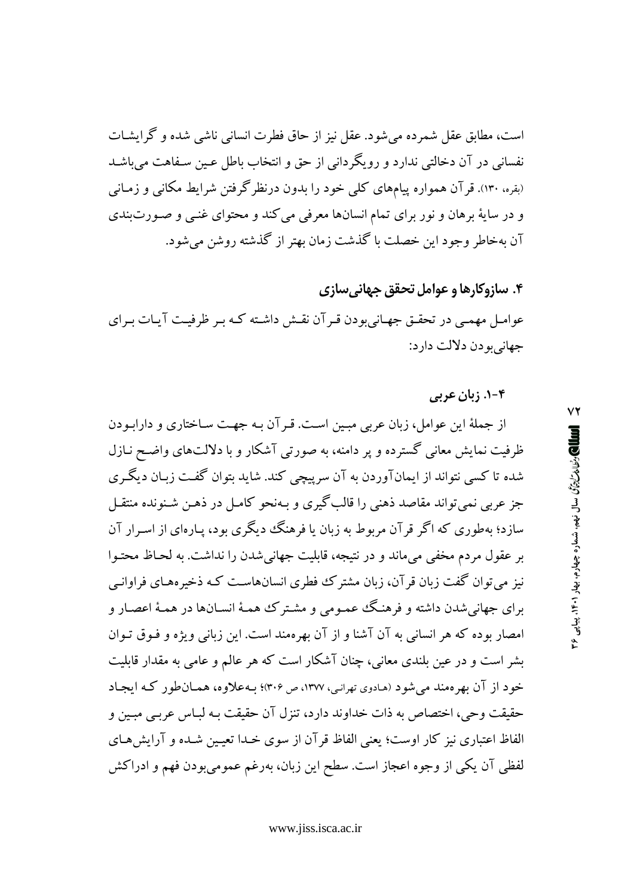است، مطابق عقل شمرده می شود. عقل نیز از حاق فطرت انسانی ناشی شده و گرایشـات نفسانی در آن دخالتی ندارد و رویگردانی از حق و انتخاب باطل عـین سـفاهت می باشـد (بقره، ۱۳۰). قرآن همواره پیامهای کلی خود را بدون درنظرگرفتن شرایط مکانی و زمـانی و در سايهٔ برهان و نور براي تمام انسانها معرفي مي كند و محتواي غنبي و صـورتبندي آن بهخاطر وجود اين خصلت با گذشت زمان بهتر از گذشته روشن مي شود.

# ۴. سازوکارها و عوامل تحقق جهانی سازی

عوامـل مهمـی در تحقـق جهـانیبودن قـرآن نقـش داشـته کـه بـر ظرفیـت آیـات بـرای جهاني بو دن دلالت دارد:

#### ۴-۱. زبان عربی

از جملهٔ این عوامل، زبان عربی مبین است. قبر آن بـه جهـت سـاختاری و دارابـودن ظرفیت نمایش معانی گسترده و پر دامنه، به صورتی آشکار و با دلالتهای واضح نـازل شده تا کسی نتواند از ایمانآوردن به آن سرپیچی کند. شاید بتوان گفت زبـان دیگـری جز عربی نمیتواند مقاصد ذهنی را قالب گیری و بـهنحو کامـل در ذهـن شـنونده منتقـل سازد؛ بهطوری که اگر قر آن مربوط به زبان یا فرهنگ دیگری بود، پـارهای از اسـرار آن بر عقول مردم مخفی میماند و در نتیجه، قابلیت جهانی شدن را نداشت. به لحـاظ محتـوا نیز می توان گفت زبان قر آن، زبان مشتر ک فطری انسانهاست کـه ذخیر مهـای فراوانـی براي جهاني شدن داشته و فرهنگ عممومي و مشـتر ک همـهٔ انسـانها در همـهٔ اعصـار و امصار بوده كه هر انساني به آن آشنا و از آن بهرهمند است. اين زباني ويژه و فـوق تـوان بشر است و در عین بلندی معانی، چنان آشکار است که هر عالم و عامی به مقدار قابلیت خود از آن بھر معند می شود (هادوی تهرانبی، ۱۳۷۷، ص ۳۰۶)؛ په علاوه، همپان طور که ایجاد حقيقت وحي، اختصاص به ذات خداوند دارد، تنزل آن حقيقت بـه لبـاس عربـي مبـين و الفاظ اعتباري نيز كار اوست؛ يعني الفاظ قر آن از سوى خـدا تعيـين شـده و آرايش هـاي لفظی آن یکی از وجوه اعجاز است. سطح این زبان، بهرغم عمومیبودن فهم و ادراکش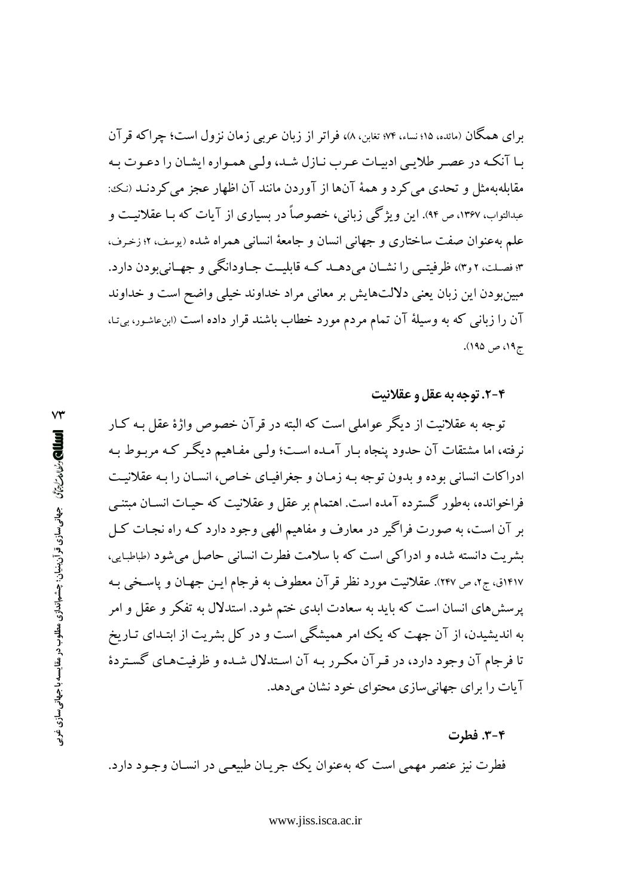برای همگان (مائده، ۱۵؛ نساء، ۷۴؛ تغابن، ۸)، فراتر از زبان عربی زمان نزول است؛ چراکه قر آن بـا آنكـه در عصـر طلايـي ادبيـات عـرب نـازل شـد، ولـي همـواره ايشـان را دعـوت بـه مقابلهبهمثل و تحدی می کرد و همهٔ آنها از آوردن مانند آن اظهار عجز می کردنـد (نـک: عبدالتواب، ۱۳۶۷، ص ۹۴). این و یژگی زبانی، خصوصاً در بسیاری از آیات که بیا عقلانیت و علم بهعنوان صفت ساختاري و جهاني انسان و جامعهٔ انساني همراه شده (يوسف، ۶۲ زخرف، ۳؛ فصلت، ۲و۴)، ظرفیتبی را نشــان می دهــد کــه قابلیــت جــاودانگمی و جهــانی بودن دارد. مبینبودن این زبان یعنی دلالتهایش بر معانی مراد خداوند خیلی واضح است و خداوند آن را زبانی که به وسیلهٔ آن تمام مردم مورد خطاب باشند قرار داده است «بنءشور، بی نـا، ج ۱۹، ص ۱۹۵).

#### ۰۴-۲. توجه به عقل و عقلانیت

توجه به عقلانیت از دیگر عواملی است که البته در قر آن خصوص واژهٔ عقل بـه کبار نرفته، اما مشتقات آن حدود پنجاه بـار آمـده اسـت؛ ولـي مفـاهيم ديگـر كـه مربـوط بـه ادراکات انسانی بوده و بدون توجه بـه زمـان و جغرافیـای خـاص، انسـان را بـه عقلانیـت فراخوانده، بهطور گسترده آمده است. اهتمام بر عقل و عقلانیت که حیـات انسـان مبتنــی بر آن است، به صورت فراگیر در معارف و مفاهیم الهی وجود دارد کـه راه نجـات کـل بشریت دانسته شده و ادراکی است که با سلامت فطرت انسانی حاصل می شود (طباطبایی، ۱۴۱۷ق، ج۲، ص ۲۴۷). عقلانیت مورد نظر قر آن معطوف به فرجام ایـن جهـان و یاسـخی بـه پرسشهای انسان است که باید به سعادت ابدی ختم شود. استدلال به تفکر و عقل و امر به اندیشیدن، از آن جهت که یک امر همیشگی است و در کل بشریت از ابتـدای تـاریخ تا فرجام آن وجود دارد، در قـر آن مكـرر بـه آن اسـتدلال شـده و ظرفيتهـاي گسـتردهٔ آیات را برای جهانی سازی محتوای خود نشان می دهد.

۳-۴. فطرت فطرت نیز عنصر مهمی است که بهعنوان یک جریـان طبیعـی در انسـان وجـود دارد.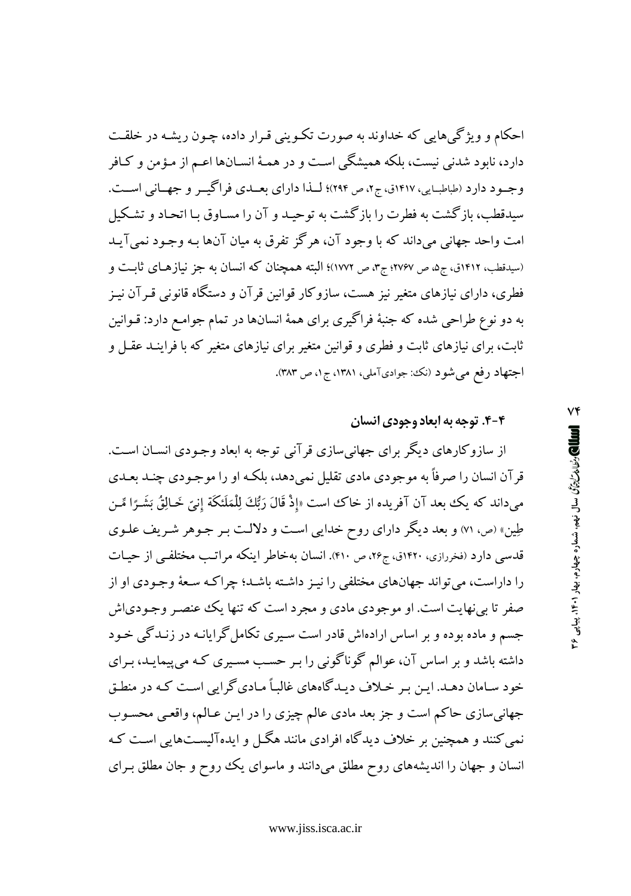احکام و ویژگیهایی که خداوند به صورت تکـوینی قـرار داده، چـون ریشـه در خلقـت دارد، نابود شدنی نیست، بلکه همیشگی است و در همـهٔ انسـانها اعـم از مـؤمن و کـافر وجـود دارد (طباطبـايي، ١٤١٧ق، ج٢، ص ٢٩٤)؛ لـذا داراي بعــدي فراگيــر و جهــاني اســت. سبدقطب، ماز گشت به فطرت را ماز گشت به تو حیـد و آن را مسـاوق بـا اتحـاد و تشـکیل امت واحد جهانی میداند که با وجود آن، هرگز تفرق به میان آنها بـه وجـود نمی آیـد (سیدقطب، ۱۴۱۲ق، ج۵، ص ۲۷۶۷؛ ج۳، ص ۱۷۷۲)؛ البته همچنان که انسان به جز نیازهـای ثابـت و فطری، دارای نیازهای متغیر نیز هست، سازوکار قوانین قرآن و دستگاه قانونی قـرآن نیـز به دو نوع طراحی شده که جنبهٔ فراگیری برای همهٔ انسانها در تمام جوامـع دارد: قـوانین ثابت، برای نیازهای ثابت و فطری و قوانین متغیر برای نیازهای متغیر که با فراینـد عقـل و اجتهاد رفع میشود (نک جوادیآملی، ۱۳۸۱، ج۱، ص ۳۸۳).

۴-۴. توجه به ابعاد وجودی انسان

از سازوکارهای دیگر برای جهانی سازی قرآنی توجه به ابعاد وجـودی انســان اســت. قر آن انسان را صرفاً به موجودی مادی تقلیل نمی دهد، بلکـه او را موجـودی چنـد بعـدی مىداند كه يك بعد آن آفريده از خاك است «إذْ قَالَ رَبُّكَ لِلْمَلَئكَة إنيّ خَـالِقُ بَشَـرًا مِّـن طِین» (ص، ۷۱) و بعد دیگر دارای روح خدایی است و دلالت بـر جـوهر شـریف علـوی قدسی دارد (فغررازی، ۱۴۲۰ق، ج۲۶، ص ۴۱۰). انسان بهخاطر اینکه مراتب مختلفی از حیـات را داراست، می تواند جهانهای مختلفی را نیـز داشـته باشـد؛ چراکـه سـعهٔ وجـودی او از صفر تا بی نهایت است. او موجودی مادی و مجرد است که تنها یک عنصـر وجـودی|ش جسم و ماده بوده و بر اساس ارادهاش قادر است سیری تکامل گرایانـه در زنـدگی خـود داشته باشد و بر اساس آن، عوالم گوناگونی را بـر حسـب مسـیری کـه می پیمایـد، بـرای خود سـامان دهـد. ايـن بـر خـلاف ديـدگاههاي غالبـاً مـاديگرايي اسـت كـه در منطـق جهاني سازي حاكم است و جز بعد مادي عالم چيزي را در ايـن عـالم، واقعـي محسـوب نمی کنند و همچنین بر خلاف دیدگاه افرادی مانند هگل و ایدهآلیستهایی است کـه انسان و جهان را اندیشههای روح مطلق میدانند و ماسوای یک روح و جان مطلق برای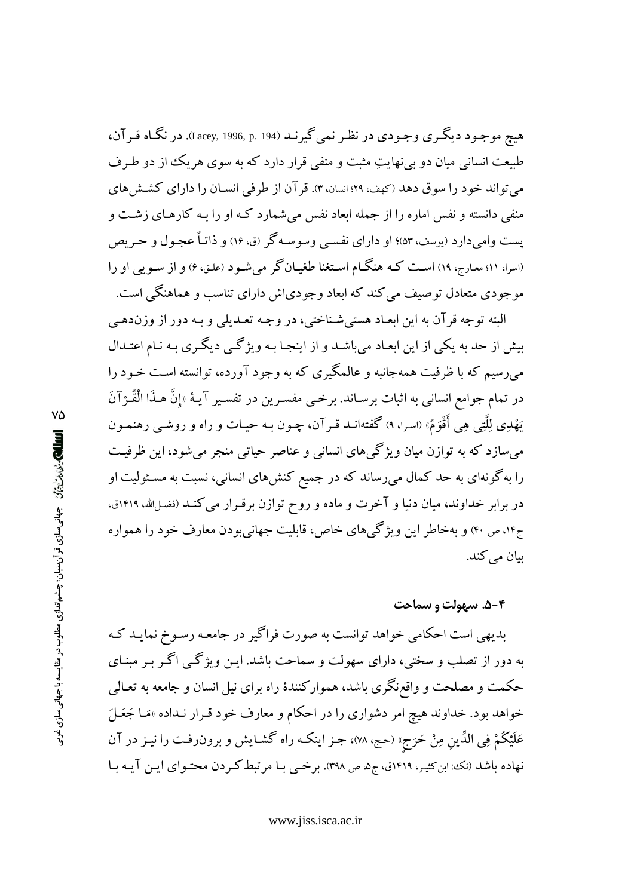هيچ موجـود ديگـري وجـودي در نظـر نمي گيرنـد (194 .p. 1996, p. در نگـاه قـر آن، طبیعت انسانی میان دو بی نهایتِ مثبت و منفی قرار دارد که به سوی هر یک از دو طـرف می تواند خود را سوق دهد (کهف، ۲۹؛ انسان، ۳). قر آن از طرفی انسـان را دارای کشـش های منفی دانسته و نفس اماره را از جمله ابعاد نفس می شمارد کـه او را بـه کارهـای زشـت و پست وامیدارد (یوسف، ۵۳)؛ او دارای نفسی وسوسه گر (ق، ۱۶) و ذاتـاً عجـول و حـر یص (اسرا، ۱۱؛ معارج، ۱۹) است کـه هنگـام اسـتغنا طغیـانگر میشـود (علـق، ۶) و از سـویـی او را موجودی متعادل توصیف می کند که ابعاد وجودیاش دارای تناسب و هماهنگی است.

البته توجه قرآن به این ابعـاد هستی شـناختی، در وجـه تعـدیلی و بـه دور از وزندهـی بیش از حد به یکی از این ابعـاد میباشـد و از اینجـا بـه ویژگـی دیگـری بـه نـام اعتـدال میرسیم که با ظرفیت همهجانبه و عالمگیری که به وجود آورده، توانسته است خـود را در تمام جوامع انسانی به اثبات برسـاند. برخـی مفسـرین در تفسـیر آیـهٔ «إِنَّ هـذَا الْقُـرْآنَ يَهْدِي لِلَّتِي هِي أَقْوَمُ» (اسرا، ٩) گفتهانــد قـرآن، چــون بــه حيــات و راه و روشــي رهنمــون میسازد که به توازن میان ویژگیهای انسانی و عناصر حیاتی منجر میشود، این ظرفیت را به گونهای به حد کمال میرساند که در جمیع کنشهای انسانی، نسبت به مسئولیت او در برابر خداوند، میان دنیا و آخرت و ماده و روح توازن برقـرار می کنـد (فضـلالله، ۱۴۱۹ق، ج۱۴، ص ۴۰) و بهخاطر این ویژگیهای خاص، قابلیت جهانیبودن معارف خود را همواره بيان مي كند.

#### ۰۵-۴. سهولت و سماحت

بدیهی است احکامی خواهد توانست به صورت فراگیر در جامعه رسـوخ نمایـد کـه به دور از تصلب و سختی، دارای سهولت و سماحت باشد. ایـن ویژگـی اگـر بـر مبنـای حکمت و مصلحت و واقع;نگری باشد، هموارکنندهٔ راه برای نیل انسان و جامعه به تعـالمی خواهد بود. خداوند هیچ امر دشواری را در احکام و معارف خود قـرار نـداده «مَـا جَعَـلَ عَلَيْكُمْ فِي الدِّينِ مِنْ حَرَجٍ» (حج، ٧٨)، جـز اينكـه راه گشـايش و برون(فـت را نيـز در آن نهاده باشد (نک: ابن کثیر، ۱۴۱۹ق، ج۵، ص ۳۹۸). برخمی بـا مرتبط کـردن محتـوای ایـن آیـه بـا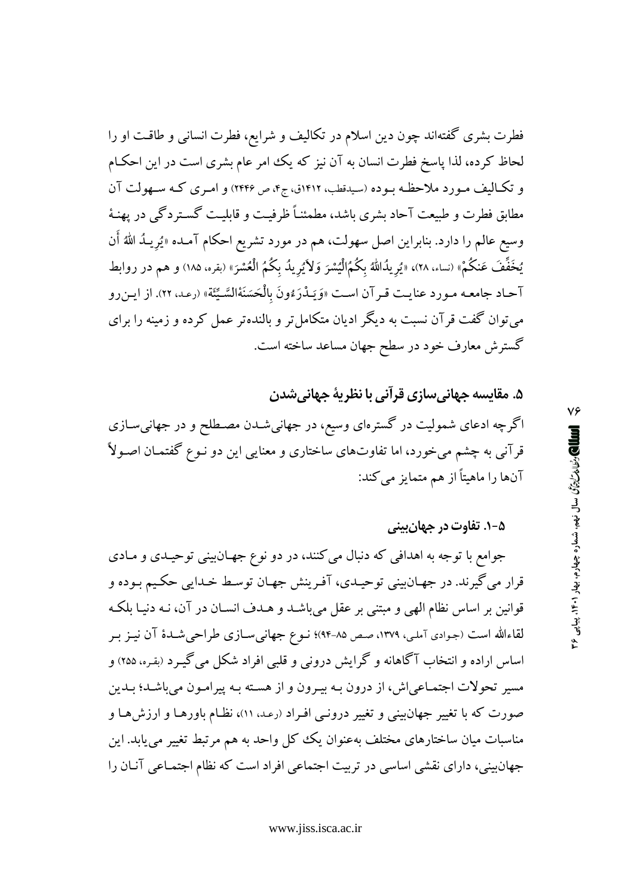فطرت بشری گفتهاند چون دین اسلام در تکالیف و شرایع، فطرت انسانی و طاقت او را لحاظ کرده، لذا پاسخ فطرت انسان به آن نیز که یک امر عام بشری است در این احکـام و تكـاليف مـورد ملاحظـه بـوده (سيدقطب، ١٤١٢ق، ج۴، ص ٢٤٤۶) و امـري كـه سـهولت آن مطابق فطرت و طبیعت آحاد بشری باشد، مطمئنـاً ظرفیـت و قابلیـت گسـتر دگبی در پهنـهٔ وسيع عالم را دارد. بنابراين اصل سهولت، هم در مورد تشريع احكام آمـده «يُريـدُ اللهُ أَن يُخَفِّفَ عَنكُمْ» (نساء، ٢٨)، «يُرِيدُالله بِكُمُ}الْيُسْرَ وَلاَيُرِيدُ بِكُمُ الْعُسْرَ» (بقره، ١٨٥) و هم در روابط آحـاد جامعـه مـورد عنايـت قـرآن اسـت «وَيَـدْرَءُونَ بِالْحَسَنَةْالسَّـيِّئَة » (رعـد. ٢٢). از ايـن رو می توان گفت قرآن نسبت به دیگر ادیان متکامل تر و بالنده تر عمل کرده و زمینه را برای گسترش معارف خود در سطح جهان مساعد ساخته است.

# ۵. مقایسه جهانیسازی قرآنی با نظریهٔ جهانیشدن

اگرچه ادعای شمولیت در گسترهای وسیع، در جهانیشـدن مصـطلح و در جهانیسـازی قرآنی به چشم میخورد، اما تفاوتهای ساختاری و معنایی این دو نـوع گفتمـان اصـولاً آنها را ماهیتاً از هم متمایز میکند:

## ۵-۱. تفاوت در جهان بینی

جوامع با توجه به اهدافی که دنبال میکنند، در دو نوع جهـانبینی توحیـدی و مـادی قرار مي گيرند. در جهـانبيني توحيـدي، آفـرينش جهـان توسـط خـدايي حكـيم بـوده و قوانین بر اساس نظام الهی و مبتنی بر عقل میباشـد و هـدف انسـان در آن، نـه دنیـا بلکـه لقاءالله است (جـوادی آملـی، ١٣٧٩، صـص ٨٥-٩۴)؛ نــوع جهانـیســازی طراحـیشــدهٔ آن نيــز بــر اساس اراده و انتخاب آگاهانه و گرایش درونی و قلبی افراد شکل می گیـرد (بقـره، ۲۵۵) و مسیر تحولات اجتمـاعی|ش، از درون بـه بیـرون و از هسـته بـه پیرامـون میباشـد؛ بـدین صورت که با تغییر جهان بینی و تغییر درونبی افـراد (رعـد، ۱۱)، نظـام باورهـا و ارزشهـا و مناسبات میان ساختارهای مختلف بهعنوان یک کل واحد به هم مرتبط تغییر می یابد. این جهانبینی، دارای نقشی اساسی در تربیت اجتماعی افراد است که نظام اجتمـاعی آنـان را

٧۶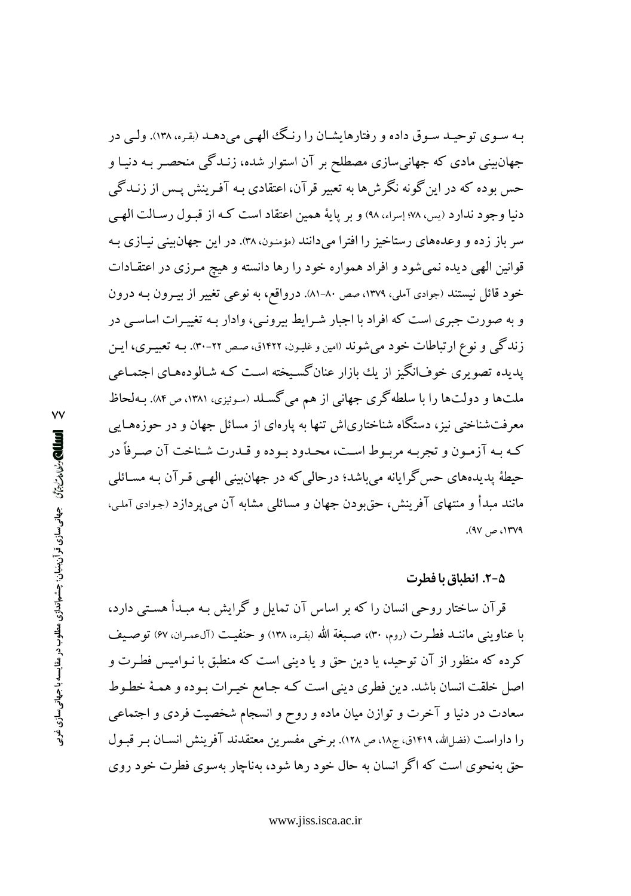بـه سـوي توحيـد سـوق داده و رفتارهايشـان را رنـگ الهـي مي دهـد (بقـره، ١٣٨). ولـي در جهانبینی مادی که جهانیسازی مصطلح بر آن استوار شده، زنـدگی منحصـر بـه دنیـا و حس بوده که در این گونه نگرشها به تعبیر قرآن، اعتقادی بـه آفـرینش پـس از زنــدگی دنیا وجود ندارد (پس، ۹۷۸ إسراء، ۹۸) و بر پایهٔ همین اعتقاد است کـه از قبـول رسـالت الهـی سر باز زده و وعدههای رستاخیز را افترا میدانند (مؤمنون، ۳۸). در این جهان بینی نیـازی بـه قوانین الهی دیده نمیشود و افراد همواره خود را رها دانسته و هیچ مـرزی در اعتقـادات خود قائل نیستند (جوادی آملی، ۱۳۷۹، صص ۸۰-۸۱). درواقع، به نوعی تغییر از بیـرون بـه درون و به صورت جبری است که افراد با اجبار شـرایط بیرونـی، وادار بـه تغییـرات اساسـی در زندگی و نوع ارتباطات خود میشوند (امین و غلیـون، ۱۴۲۲ق، صـص ۲۲-۳۰). بــه تعبیــری، ایــن یدیده تصویری خوفانگیز از یك بازار عنانگسیخته است كـه شـالودههـای اجتمـاعی ملتها و دولتها را با سلطه گری جهانی از هم می گسلد (سوئیزی، ۱۳۸۱، ص ۸۴). بـهلحاظ معرفتشناختی نیز، دستگاه شناختاریاش تنها به پارهای از مسائل جهان و در حوزههـایی كـه بـه آزمـون و تجربـه مربـوط اسـت، محـدود بـوده و قـدرت شـناخت آن صـرفأ در حیطهٔ پدیدههای حس گرایانه میباشد؛ درحالی که در جهانبینی الهـی قـرآن بـه مسـائلی مانند مبدأ و منتهای آفرینش، حق و دن جهان و مسائلی مشابه آن می بر دازد (جوادی آملی، ۰۱۳۷۹، ص ۹۷).

#### ۵-۲. انطباق با فطرت

قرآن ساختار روحی انسان را که بر اساس آن تمایل و گرایش بـه مبـدأ هسـتـی دارد، با عناويني ماننـد فطـرت (روم، ٣٠)، صـبغة الله (بقـره، ١٣٨) و حنفيـت (آلءمـران، ۶۷) توصـبف کرده که منظور از آن توحید، یا دین حق و یا دینی است که منطبق با نـوامیس فطـرت و اصل خلقت انسان باشد. دین فطری دینی است کـه جـامع خیـرات بـوده و همـهٔ خطـوط سعادت در دنیا و آخرت و توازن میان ماده و روح و انسجام شخصیت فردی و اجتماعی را داراست (فضل لله، ۱۴۱۹ق، ج۱۸، ص ۱۲۸). برخی مفسرین معتقدند آفرینش انسـان بـر قبـول حق بهنحوی است که اگر انسان به حال خود رها شود، بهناچار بهسوی فطرت خود روی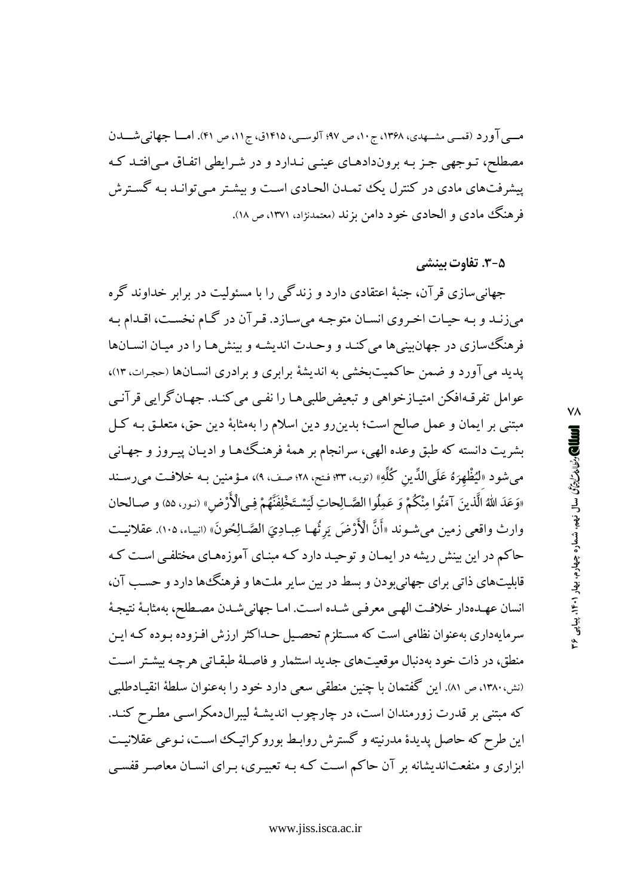مسی آورد (قمسی مشــهدی، ۱۳۶۸، ج۱۰، ص ۹۷؛ آلوســی، ۱۴۱۵ق، ج۱۱، ص ۴۱). امــا جهانی شـــدن مصطلح، تـوجهي جـز بـه بروندادهـاي عينـي نـدارد و در شـرابطي اتفـاق مـي|فتـد كـه پیشرفتهای مادی در کنترل یک تممدن الحـادی اسـت و بیشـتر مـی توانـد بـه گسـترش فرهنگ مادي و الحادي خود دامن بزند (معتمدنژاد، ۱۳۷۱، ص ۱۸).

### ۰۵–۳. تفاوت بینش*ی*

جهانی سازی قرآن، جنبهٔ اعتقادی دارد و زندگی را با مسئولیت در برابر خداوند گر ه می زنـد و بـه حیـات اخـروی انسـان متوجـه میسـازد. قـر آن در گـام نخسـت، اقـدام بـه فرهنگ سازی در جهان بینی ها می کنـد و وحـدت اندیشـه و بینش هـا را در میـان انســانها یدید می آورد و ضمن حاکمیتبخشی به اندیشهٔ برابری و برادری انسـانها (حجرات، ۱۳)، عوامل تفرقـهافكن امتيـازخواهي و تبعيضطلبيهـا را نفـي مي كنـد. جهـان گرايبي قرآنـي مبتنی بر ایمان و عمل صالح است؛ بدین رو دین اسلام را بهمثابهٔ دین حق، متعلـق بـه کـل بشریت دانسته که طبق وعده الهی، سرانجام بر همهٔ فرهنگها و ادیـان پیـروز و جهـانبی مي شود «لَيُظْهِرَهُ عَلَى الدِّينِ كُلِّهِ» (توبه، ٣٣؛ فتح، ٢٨؛ صف، ٩)، مـؤمنين بـه خلافت مي رسـند «وَعَدَ اللهُ الَّذينَ آمَنُوا مِنْكُمْ وَ عَمِلُوا الصَّـالِحاتِ لَيَسْـتَخْلِفَنَّهُمْ فِـىالْأَرْض» (نـور، ٥۵) و صـالحان وارث واقعي زمين مي شـوند «أَنَّ الْأَرْضَ يَرِثُها عِبـادِيَ الصَّـالِحُونَ» (انبيـاء، ١٠٥). عقلانيـت حاکم در این بینش ریشه در ایمـان و توحیـد دارد کـه مبنـای آموزههـای مختلفـی اسـت کـه قابلیتهای ذاتی برای جهانی بودن و بسط در بین سایر ملتها و فرهنگ ها دارد و حسب آن، انسان عهـدهدار خلافـت الهـى معرفـى شـده اسـت. امـا جهانىشـدن مصـطلح، بهمثابـهٔ نتيجـهٔ سرمایهداری بهعنوان نظامی است که مسـتلزم تحصـیل حـداکثر ارزش افـزوده بـوده کـه ایـن منطق، در ذات خود بهدنبال موقعیتهای جدید استثمار و فاصلهٔ طبقـاتی هرچـه بیشـتر اسـت (نش،۱۳۸۰، ص ۸۱). این گفتمان با چنین منطقی سعی دارد خود را بهعنوان سلطهٔ انقیـادطلبی که مبتنی بر قدرت زورمندان است، در چارچوب اندیشهٔ لیبرالدمکراسبی مطرح کنـد. این طرح که حاصل پدیدهٔ مدرنیته و گسترش روابط بوروکراتیک است، نـوعی عقلانیـت ابزاری و منفعتاندیشانه بر آن حاکم است کـه بـه تعبیـری، بـرای انســان معاصـر قفســی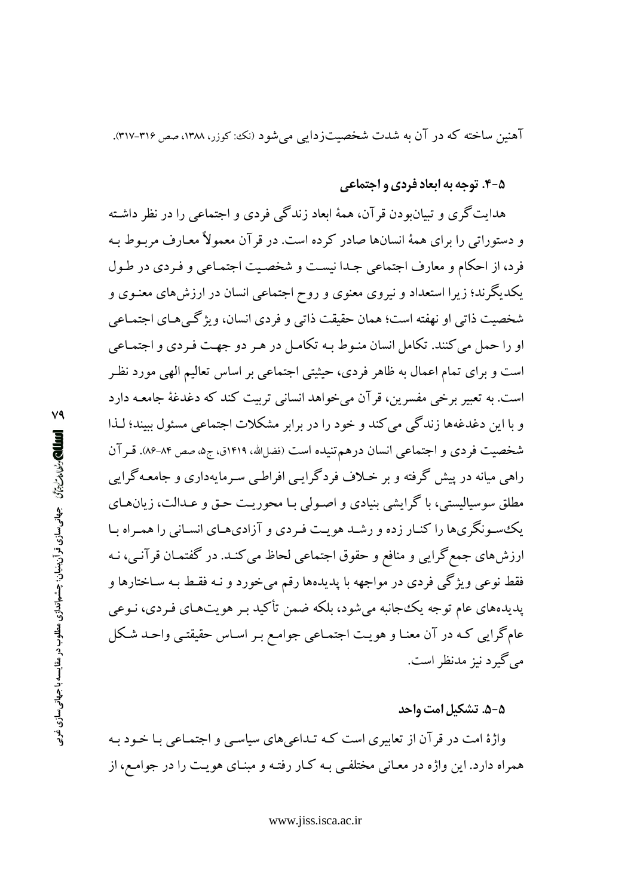آهنین ساخته که در آن به شدت شخصیتزدایی می شود (نک: کوزر، ۱۳۸۸، صص ۳۱۶-۳۱۷).

#### ۵-۴. توحه به ابعاد فردي و احتماعي

هدایتگری و تبیان ودن قرآن، همهٔ ابعاد زندگی فردی و اجتماعی را در نظر داشته و دستوراتی را برای همهٔ انسانها صادر کرده است. در قر آن معمولاً معـارف مربـوط بـه فرد، از احکام و معارف اجتماعی جدا نیست و شخصیت اجتمـاعی و فـردی در طـول یکدیگرند؛ زیرا استعداد و نیروی معنوی و روح اجتماعی انسان در ارزش های معنـوی و شخصيت ذاتي او نهفته است؛ همان حقيقت ذاتي و فردي انسان، ويژگى هـاي اجتمـاعي او را حمل می کنند. تکامل انسان منـوط بـه تکامـل در هـر دو جهـت فـردی و اجتمـاعی است و برای تمام اعمال به ظاهر فردی، حیثیتی اجتماعی بر اساس تعالیم الهی مورد نظر است. به تعبیر برخی مفسرین، قرآن میخواهد انسانی تربیت کند که دغدغهٔ جامعـه دارد و یا این دغدغهها زندگی می کند و خود را در برابر مشکلات اجتماعی مسئول سند؛ لـذا شخصیت فردی و اجتماعی انسان درهم تنیده است (فضارالله، ۱۴۱۹ق، ج۵، صص ۸۴-۸۶. قـرآن راهي ميانه در پيش گرفته و بر خـلاف فردگرايـي افراطـي سـرمايهداري و جامعـهگرايي مطلق سوسیالیستی، با گرایشی بنیادی و اصـولی بـا محوریـت حـق و عــدالت، زیان۱مـای یک سونگریها را کنـار زده و رشـد هویـت فـردی و آزادیهـای انسـانی را همـراه بـا ارزشهاي جمع گرايي و منافع و حقوق اجتماعي لحاظ مي كنـد. در گفتمـان قرآنـي، نـه فقط نوعی ویژگی فردی در مواجهه با پدیدهها رقم می خورد و نـه فقـط بـه سـاختارها و پدیدههای عام توجه یک جانبه می شود، بلکه ضمن تأکید بـر هویتهـای فـردی، نـوعی عامگرایی کـه در آن معنـا و هویـت اجتمـاعی جوامـع بـر اسـاس حقیقتـی واحـد شـکل مي گيرد نيز مدنظر است.

#### ۵-۵. تشکیل امت واحد

واژهٔ امت در قرآن از تعابیری است کـه تـداعیهای سیاسـی و اجتمـاعی بـا خـود بـه همراه دارد. این واژه در معـانی مختلفـی بـه کـار رفتـه و مبنـای هویـت را در جوامـع، از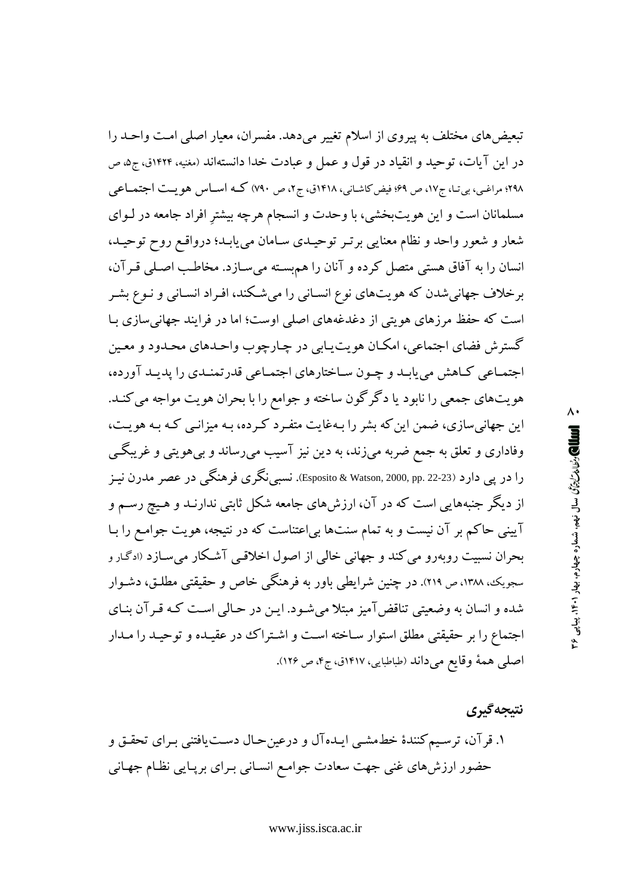تبعیضهای مختلف به پیروی از اسلام تغییر میدهد. مفسران، معیار اصلی امت واحـد را در این آیات، توحید و انقیاد در قول و عمل و عبادت خدا دانستهاند (مغنیه، ۱۴۲۴ق، ج۵، ص ٬۲۹۸ مراغبی، بی تـا، ج۱۷، ص ۶۹؛ فیض کاشـانی، ۱۴۱۸ق، ج۲، ص ۷۹۰) کـه اسـاس هو یـت اجتمـاعی مسلمانان است و این هویتبخشی، با وحدت و انسجام هرچه بیشتر افراد جامعه در لـوای شعار و شعور واحد و نظام معنایی برتـر توحیـدی سـامان می یابـد؛ درواقـع روح توحیـد، انسان را به آفاق هستی متصل کرده و آنان را هم بسته میسازد. مخاطب اصلی قـرآن، برخلاف جهانی شدن که هویتهای نوع انسـانی را میشـکند، افـراد انسـانی و نـوع بشـر است که حفظ مرزهای هویتی از دغدغههای اصلی اوست؛ اما در فرایند جهانی سازی بـا گسترش فضاي اجتماعي، امكـان هويت يـابي در چـارچوب واحـدهاي محـدود و معـين اجتمـاعي كـاهش مي يابـد و چـون سـاختارهاي اجتمـاعي قدرتمنـدي را يديـد آورده، هویتهای جمعی را نابود یا دگرگون ساخته و جوامع را با بحران هویت مواجه می کنـد. این جهانی سازی، ضمن این که بشر را بـهغایت متفـرد کـرده، بـه میزانـی کـه بـه هویـت، وفاداری و تعلق به جمع ضربه میزند، به دین نیز آسیب میرساند و بیهویتی و غریبگی را در یی دارد (22-22 .Esposito & Watson, 2000, pp.). نسبی نگری فرهنگی در عصر مدرن نیـز از دیگر جنبههایی است که در آن، ارزشهای جامعه شکل ثابتی ندارنـد و هـیچ رسـم و آیینی حاکم بر آن نیست و به تمام سنتها بی|عتناست که در نتیجه، هویت جوامع را بـا بحران نسبیت روبهرو می کند و جهانی خالی از اصول اخلاقیی آشکار می سازد (ادگار و سجویک، ۱۳۸۸، ص ۲۱۹). در چنین شرایطی باور به فرهنگی خاص و حقیقتی مطلـق، دشـوار شده و انسان به وضعیتی تناقضآمیز مبتلا می شـود. ایـن در حـالی اسـت کـه قـر آن بنـای اجتماع را بر حقیقتی مطلق استوار سـاخته اسـت و اشـتراک در عقیـده و توحیـد را مـدار اصلی همهٔ وقایع میداند (طباطبایی، ۱۴۱۷ق، ج۴، ص ۱۲۶).

نتيجه گيري ۱. قرآن، ترسیم کنندهٔ خطهشبی ایـدهآل و درعینحـال دسـتیافتنی بـرای تحقـق و حضور ارزشهای غنی جهت سعادت جوامع انسـانی بـرای برپـایی نظـام جهـانی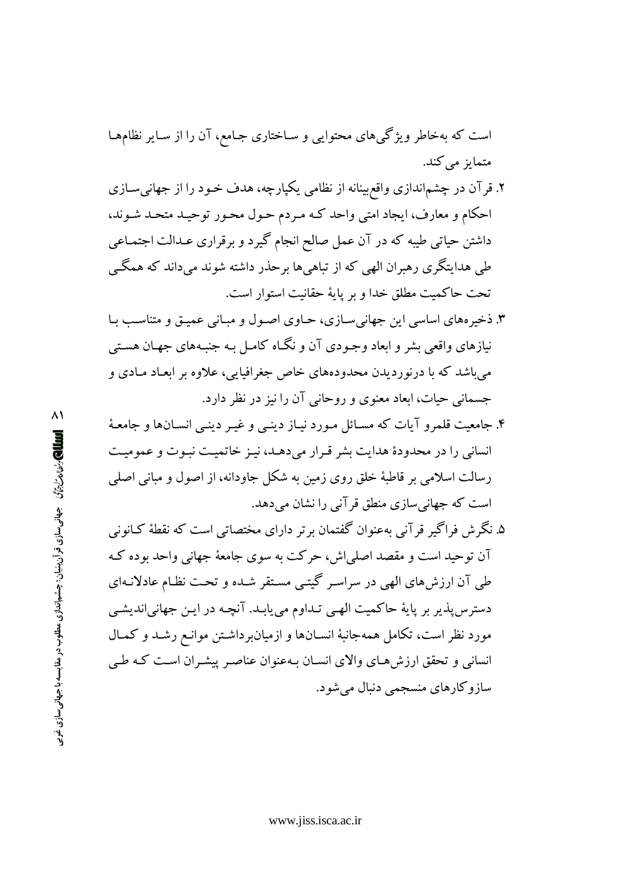است که بهخاطر ویژگیهای محتوایی و ساختاری جـامع، آن را از سـایر نظامهـا متمایز می کند.

- ۲. قرآن در چشم|ندازی واقع بینانه از نظامی یکپارچه، هدف خـود را از جهانی سـازی احکام و معارف، ایجاد امتی واحد کـه مـردم حـول محـور توحیـد متحـد شـوند، داشتن حیاتی طیبه که در آن عمل صالح انجام گیرد و برقراری عـدالت اجتمـاعی طی هدایتگری رهبران الهی که از تباهی ها برحذر داشته شوند می داند که همگے تحت حاكميت مطلق خدا وبر ياية حقانيت استوار است.
- ۳. ذخیرههای اساسی این جهانی سازی، حـاوی اصـول و مبـانی عمیـق و متناسـب بـا نیازهای واقعی بشر و ابعاد وجـودی آن و نگـاه کامـل بـه جنبـههای جهـان هسـتی میباشد که با درنوردیدن محدودههای خاص جغرافیایی، علاوه بر ابعـاد مـادی و جسمانی حیات، ابعاد معنوی و روحانی آن را نیز در نظر دارد.
- ۴. جامعیت قلمرو آیات که مسـائل مـورد نیـاز دینـی و غیـر دینـی انسـانها و جامعـهٔ انسانی را در محدودهٔ هدایت بشر قرار می دهـد، نیـز خاتمیـت نبـوت و عمومیـت رسالت اسلامی بر قاطبهٔ خلق روی زمین به شکل جاودانه، از اصول و مبانی اصلی است که جهانی سازی منطق قر آنی را نشان می دهد.
- ۵. نگر ش فراگیر قر آنی بهعنوان گفتمان برتر دارای مختصاتی است که نقطهٔ کـانونی آن توحید است و مقصد اصلی اش، حرکت به سوی جامعهٔ جهانی واحد بوده ک طی آن ارزش های الهی در سراسر گیتبی مستقر شده و تحت نظام عادلانـهای دسترس پذیر بر پایهٔ حاکمیت الهبی تـداوم می یابـد. آنچـه در ایـن جهانیاندیشـی مورد نظر است، تکامل همهجانبهٔ انسـانها و ازمیانبرداشـتن موانـع رشـد و کمـال انسانی و تحقق ارزشهای والای انسان بهعنوان عناصر پیشران است که طبی سازوکارهای منسجمی دنبال میشود.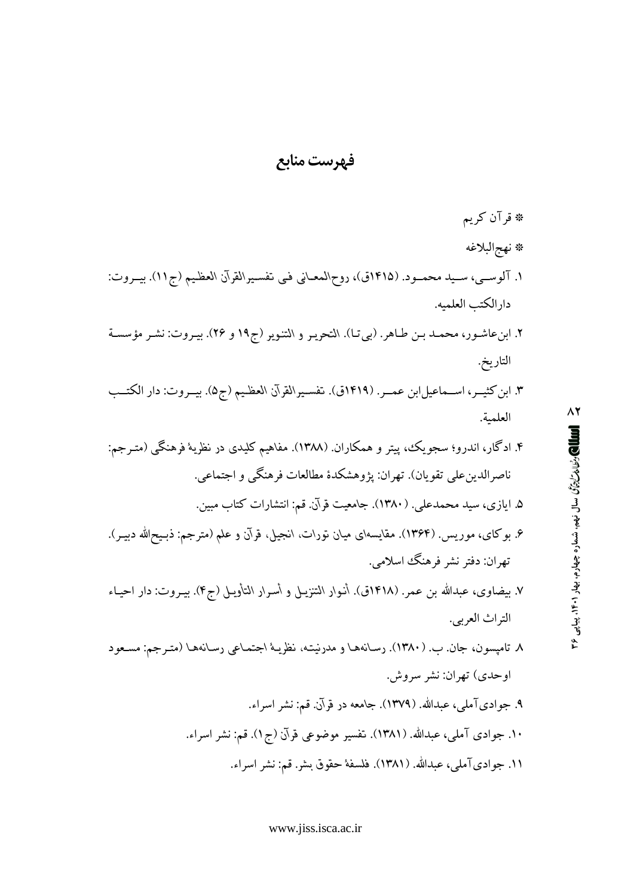# فه ست مناب*ع*

\* قرآن كريم # نهج|لبلاغه ا. آلوسـي، سـيد محمـود. (١۴١٥ق)، روح\لمعـاني فـي تفسـيرالقرآن العظـيم (ج١١). بيـروت: دار الكتب العلميه. ۲. ابنءاشـور، محمـد بـن طـاهر. (بيتـا). التحريـر و التنـوير (ج۱۹ و ۲۶). بيـروت: نشـر مؤسسـة التاريخ. ۳. ابن كثيــر، اســماعيل!بن عمــر. (۱۴۱۹ق). تفسـيرالقرآن العظـيم (ج۵). بيــروت: دار الكتــب العلمية. ۴. ادگار، اندرو؛ سجو یک، پیتر و همکاران. (۱۳۸۸). مفاهیم کلیدی در نظریهٔ فرهنگ<sub>ی</sub> (متـرجم: ناصرالدين على تقويان). تهران: پژوهشكدهٔ مطالعات فرهنگي و اجتماعي. ۵. ایازی، سید محمدعلی. (۱۳۸۰). جامعیت قرآن. قم: انتشارات کتاب مبین. ۶. بوكاي، موريس. (۱۳۶۴). مقايسهاي ميان تورات، انجيل، قرآن و علم (مترجم: ذبـيحالله دبيـر). تھران: دفتر نشر فرهنگٹ اسلامے. ۷. بيضاوى، عبدالله بن عمر. (١۴١٨ق). أنـوار التنزيـل و أسـرار التأويـل (ج۴). بيــروت: دار احيـاء التراث العربي. m´/z ¬\_r/X *ťƨDžDŽǁťƨƊƄ ʹƢťƨƾůŶŤ ȻƨǏƅƟǁ ŐDŽƨůǐǁƄƁƽ LJ ťƨDžDŽǁťƨƊƄ*  M ¯L\_ ,¯´zTLW  اوحدي) تهران: نشر سروش. ۹. جوادي آملي، عبدالله. (۱۳۷۹). جامعه در قرآن. قم: نشر اسراء. ۱۰. جوادی آملی، عبدالله. (۱۳۸۱). تفسیر موضوعی قرآن (ج۱). قم: نشر اسراء. ۱۱. جواديآملي، عبدالله. (۱۳۸۱). فلسفهٔ حقوق بشر. قم: نشر اسراء.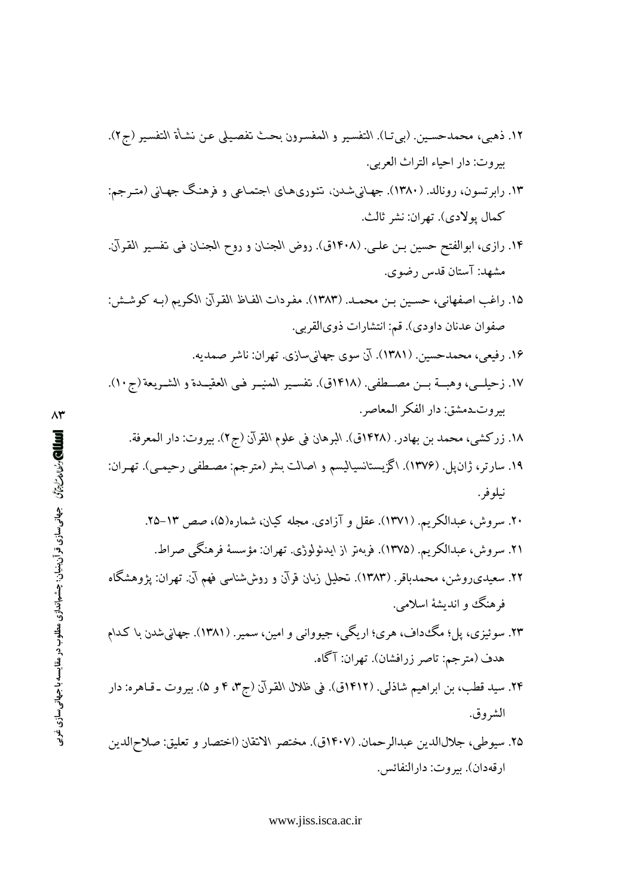- ١٢. ذهبي، محمدحسـين. (بي تـا). التفسير و المفسـرون بحث تفصيلي عـن نشـأة التفسير (ج٢). بيروت: دار احياء التراث العربي.
- ۱۳. رابرتسون، رونالد. (۱۳۸۰). جهـانیشـدن، تـٔوری۱هـای اجتمـاعی و فرهنـگ جهـانی (متـرجم: كمال يولادي). تهران: نشر ثالث.
- ۱۴. رازی، ابوالفتح حسین بـن علـی. (۱۴۰۸ق). روض الجنـان و روح الجنـان فـی تفسـیر القـرآن. مشهد: آستان قدس رضوي.
- ١۵. راغب اصفهاني، حسين بـن محمـد. (١٣٨٣). مفردات الفـاظ القرآن الكريم (بـه كوشـش: صفوان عدنان داودي). قم: انتشارات ذويالقربي.
	- ۱۶. رفیعی، محمدحسین. (۱۳۸۱). آن سوی جهانیسازی. تهران: ناشر صمدیه.
- ١٧. زحيلــي، وهبـــة بـــن مصـــطفي. (١٤١٨ق). تفســير المنيــر فــي العقيــدة و الشــريعة (ج١٠). بيروت\_دمشق: دار الفكر المعاصر.
	- ١٨. زركشي، محمد بن بهادر. (١٤٢٨ق). البرهان في علوم القرآن (ج٢). بيروت: دار المعرفة.
- ۱۹. سارتر، ژان $\downarrow$ . (۱۳۷۶). اگزیستانسیالیسم و اصالت بشر (مترجم: مصطفی رحیمـی). تهـران: نيلو فر .
	- ۲۰. سروش، عبدالکریم. (۱۳۷۱). عقل و آزادی. مجله کیان، شماره(۵)، صص ۱۳–۲۵.
	- ٢١. سروش، عبدالكريم. (١٣٧۵). فربهتر از ايدئولوژي. تهران: مؤسسة فرهنگي صراط.
- ۲۲. سعیدی(وشن، محمدباقر. (۱۳۸۳). تحلیل زبان قرآن و روششناسی فهم آن. تهران: یژوهشگاه فرهنگ و اندیشهٔ اسلامی.
- ۲۳. سوئيزي، پل؛ مگ١داف، هري؛ اريگي، جيوواني و امين، سمير. (١٣٨١). جهاني شدن با كـدام هدف (مترجم: تاصر زرافشان). تهران: آگاه.
- ۲۴. سيد قطب، بن ابراهيم شاذلي. (۱۴۱۲ق). في ظلال القرآن (ج۳، ۴ و ۵). بيروت ـ قـاهره: دار الشروق.
- ٢۵. سيوطي، جلالالدين عبدالرحمان. (١۴٠٧ق). مختصر الانقان (اختصار و تعليق: صلاح|لدين ارقەدان). بيروت: دارالنفائس.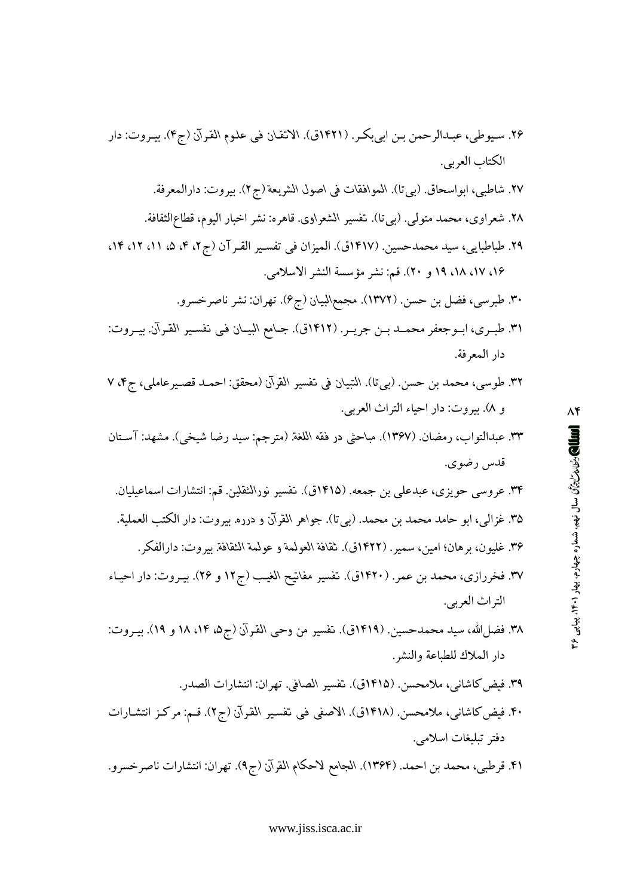- ۴۰. فیض کاشانی، ملامحسن. (۱۴۱۸ق). الاصفی فی تفسیر القرآن (ج۲). قـم: مرکـز انتشـارات دفتر تبليغات اسلامي.
- ۴۱. قرطبی، محمد بن احمد. (۱۳۶۴). الجامع لاحکام القرآن (ج۹). تهران: انتشارات ناصرخسرو.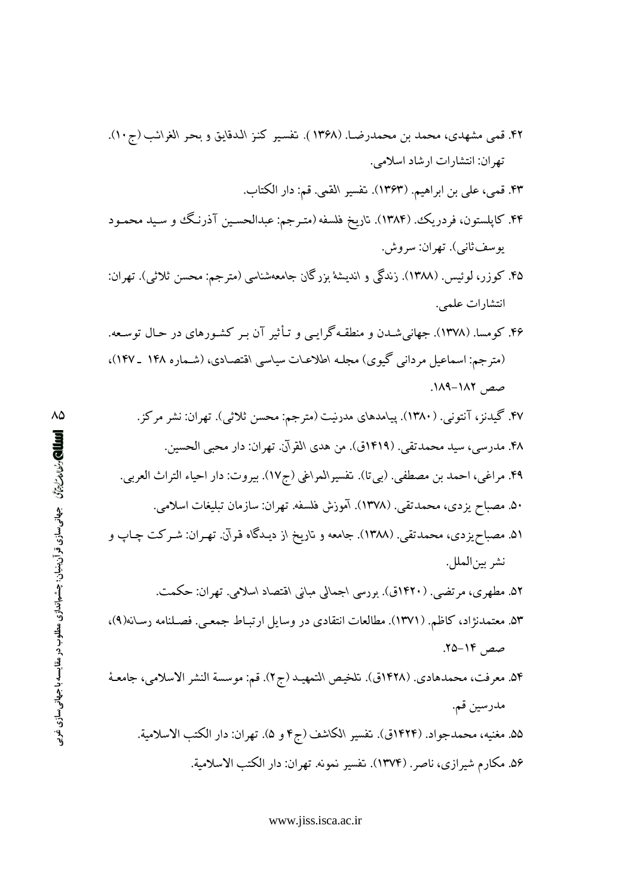- ۴۲. قمي مشهدي، محمد بن محمدرضـا. (۱۳۶۸). تفسير كنـز الـدقايق و بحـر الغرائـب (ج١٠). تهران: انتشارات ارشاد اسلامي.
	- ۴۳. قمي، علي بن ابراهيم. (١٣۶٣). تفسير القمي. قم: دار الكتاب.
- ۴۴. کاپلستون، فردریک. (۱۳۸۴). ناریخ فلسفه (متـرجم: عبدالحسـین آذرنـگ و سـید محمـود يوسف ثاني). تهران: سروش.
- ۴۵. کوزر، لوئیس. (۱۳۸۸). زندگی و اندیشهٔ بزرگان جامعهشناسی (مترجم: محسن ثلاثی). تهران: انتشارات علمي.
- ۴۶. کومسا. (۱۳۷۸). جهانی شـدن و منطقـه گرایـی و تـأثیر آن بـر کشـورهای در حـال توسـعه. (مترجم: اسماعیل مردانی گیوی) مجلـه اطلاعـات سیاسی اقتصـادی، (شـماره ۱۴۸ ـ ۱۴۷)، صص ١٨٢-١٨٩.
	- ۴۷. گیدنز، آنتونی. (۱۳۸۰). پیامدهای مدرنیت (مترجم: محسن ثلاثی). تهران: نشر مرکز. ۴۸. مدرسی، سید محمدتقی. (۱۴۱۹ق). من هدی القرآن. تهران: دار محبی الحسین.
	- ۴۹. مراغي، احمد بن مصطفى. (بي تا). تفسيرالمراغي (ج۱۷). بيروت: دار احياء التراث العربي. ۵۰. مصباح يزدي، محمدتقي. (۱۳۷۸). آموزش فلسفه. تهران: سازمان تبليغات اسلامي.
- ۵۱. مصباح یزدی، محمدتقی. (۱۳۸۸). جامعه و تاریخ از دیـدگاه قـرآن. تهـران: شـرکت چـاپ و نشر بين|لملل.
	- ۵۲. مطهری، مرتضی ـ (۱۴۲۰ق). بررسی اجمالی مبانی اقتصاد اسلامی. تهران: حکمت.
- ۵۳. معتمدنژاد، کاظم. (۱۳۷۱). مطالعات انتقادی در وسایل ارتبـاط جمعـی. فصـلنامه رسـانه(۹)، صص ۱۴-۲۵.
- ۵۴. معرفت، محمدهادي. (۱۴۲۸ق). تلخيص التمهيـد (ج۲). قم: موسسة النشر الاسلامي، جامعـهٔ مدرسين قم.
	- ۵۵. مغنيه، محمدجواد. (۱۴۲۴ق). تفسير الكاشف (ج۴ و ۵). تهران: دار الكتب الاسلامية. ۵۶. مكارم شيرازي، ناصر. (۱۳۷۴). تفسير نمونه. تهران: دار الكتب الاسلامية.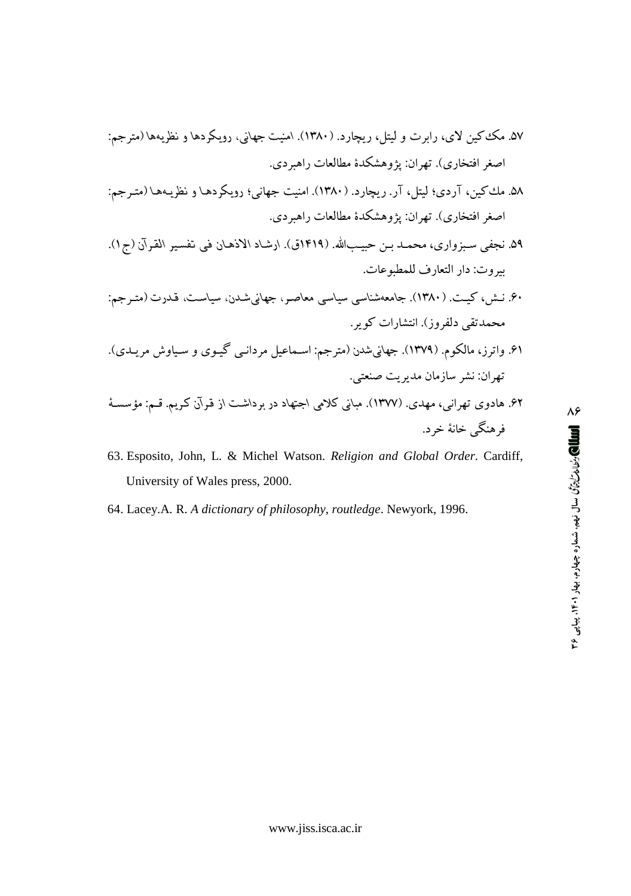- ۵۸. مك كين، آردي؛ ليتل، آر. ريجارد. (۱۳۸۰). امنيت جهاني؛ رويكردهـا و نظريـههـا (متـرجم: اصغر افتخاري). تهران: یژوهشکدهٔ مطالعات راهیر دی.
- ۵۹. نجفي سـبزواري، محمـد بـن حبيـبالله. (۱۴۱۹ق). ارشـاد الاذهـان في تفسير القـرآن (ج۱). بيروت: دار التعارف للمطبوعات.
- .<br>۶۰. نــش، کـیــت. (۱۳۸۰). جامعهشناسی سیاسی معاصـر، جهانیشـدن، سیاسـت، قـدرت (متـرجم: محمدتقی دلفروز). انتشارات کویر.
- ۶۱. واترز، مالکوم. (۱۳۷۹). جهاني شدن (مترجم: اسـماعيل مردانـي گيـوي و سـياوش مريـدي). تهران: نشر سازمان مديريت صنعتي.
- ۶۲. هادوی تهرانبی، مهدی. (۱۳۷۷). مبانی کلامی اجتهاد در برداشت از قرآن کریم. قـم: مؤسسـهٔ فرهنگي خانۀ خرد.
- 63. Esposito, John, L. & Michel Watson. Religion and Global Order. Cardiff, University of Wales press, 2000.
- 64. Lacey.A. R. A dictionary of philosophy, routledge. Newyork, 1996.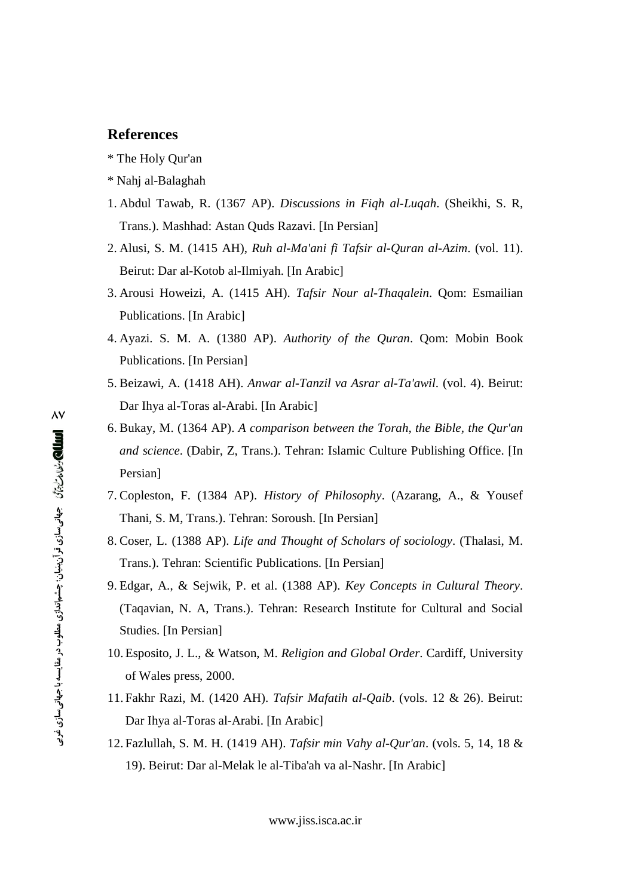#### **References**

- \* The Holy Qur'an
- \* Nahj al-Balaghah
- 1. Abdul Tawab, R. (1367 AP). *Discussions in Fiqh al-Luqah*. (Sheikhi, S. R, Trans.). Mashhad: Astan Quds Razavi. [In Persian]
- 2. Alusi, S. M. (1415 AH), *Ruh al-Ma'ani fi Tafsir al-Quran al-Azim*. (vol. 11). Beirut: Dar al-Kotob al-Ilmiyah. [In Arabic]
- 3. Arousi Howeizi, A. (1415 AH). *Tafsir Nour al-Thaqalein*. Qom: Esmailian Publications. [In Arabic]
- 4. Ayazi. S. M. A. (1380 AP). *Authority of the Quran*. Qom: Mobin Book Publications. [In Persian]
- 5. Beizawi, A. (1418 AH). *Anwar al-Tanzil va Asrar al-Ta'awil*. (vol. 4). Beirut: Dar Ihya al-Toras al-Arabi. [In Arabic]
- 6. Bukay, M. (1364 AP). *A comparison between the Torah, the Bible, the Qur'an and science*. (Dabir, Z, Trans.). Tehran: Islamic Culture Publishing Office. [In Persian]
- 7. Copleston, F. (1384 AP). *History of Philosophy*. (Azarang, A., & Yousef Thani, S. M, Trans.). Tehran: Soroush. [In Persian]
- 8. Coser, L. (1388 AP). *Life and Thought of Scholars of sociology*. (Thalasi, M. Trans.). Tehran: Scientific Publications. [In Persian]
- 9. Edgar, A., & Sejwik, P. et al. (1388 AP). *Key Concepts in Cultural Theory*. (Taqavian, N. A, Trans.). Tehran: Research Institute for Cultural and Social Studies. [In Persian]
- 10. Esposito, J. L., & Watson, M. *Religion and Global Order*. Cardiff, University of Wales press, 2000.
- 11. Fakhr Razi, M. (1420 AH). *Tafsir Mafatih al-Qaib*. (vols. 12 & 26). Beirut: Dar Ihya al-Toras al-Arabi. [In Arabic]
- 12. Fazlullah, S. M. H. (1419 AH). *Tafsir min Vahy al-Qur'an*. (vols. 5, 14, 18 & 19). Beirut: Dar al-Melak le al-Tiba'ah va al-Nashr. [In Arabic]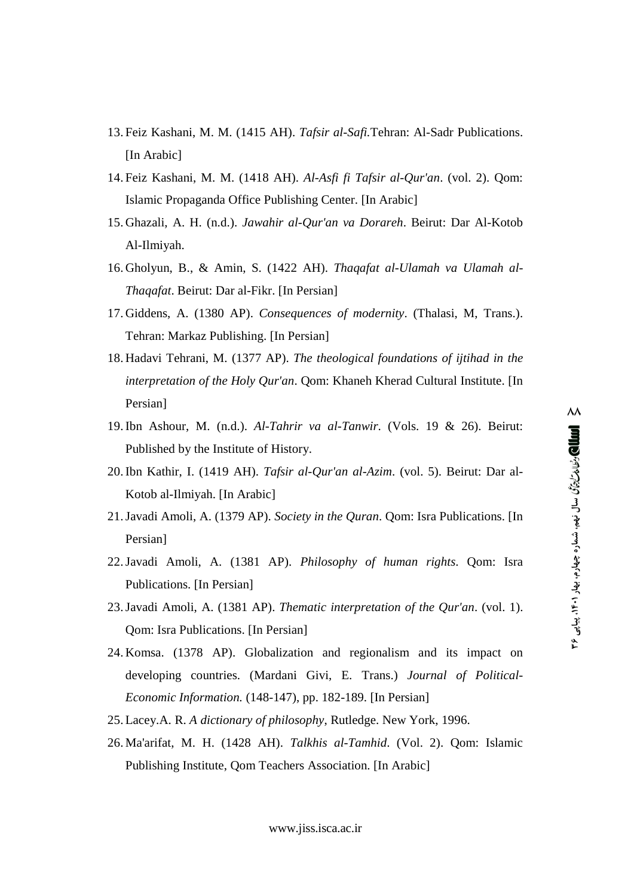- 13. Feiz Kashani, M. M. (1415 AH). *Tafsir al-Safi.*Tehran: Al-Sadr Publications. [In Arabic]
- 14. Feiz Kashani, M. M. (1418 AH). *Al-Asfi fi Tafsir al-Qur'an*. (vol. 2). Qom: Islamic Propaganda Office Publishing Center. [In Arabic]
- 15. Ghazali, A. H. (n.d.). *Jawahir al-Qur'an va Dorareh*. Beirut: Dar Al-Kotob Al-Ilmiyah.
- 16. Gholyun, B., & Amin, S. (1422 AH). *Thaqafat al-Ulamah va Ulamah al- Thaqafat*. Beirut: Dar al-Fikr. [In Persian]
- 17. Giddens, A. (1380 AP). *Consequences of modernity*. (Thalasi, M, Trans.). Tehran: Markaz Publishing. [In Persian]
- 18. Hadavi Tehrani, M. (1377 AP). *The theological foundations of ijtihad in the interpretation of the Holy Qur'an*. Qom: Khaneh Kherad Cultural Institute. [In Persian]
- 19.Ibn Ashour, M. (n.d.). *Al-Tahrir va al-Tanwir*. (Vols. 19 & 26). Beirut: Published by the Institute of History.
- 20.Ibn Kathir, I. (1419 AH). *Tafsir al-Qur'an al-Azim*. (vol. 5). Beirut: Dar al- Kotob al-Ilmiyah. [In Arabic]
- 21.Javadi Amoli, A. (1379 AP). *Society in the Quran*. Qom: Isra Publications. [In Persian]
- 22.Javadi Amoli, A. (1381 AP). *Philosophy of human rights*. Qom: Isra Publications. [In Persian]
- 23.Javadi Amoli, A. (1381 AP). *Thematic interpretation of the Qur'an*. (vol. 1). Qom: Isra Publications. [In Persian]
- 24. Komsa. (1378 AP). Globalization and regionalism and its impact on developing countries. (Mardani Givi, E. Trans.) *Journal of Political- Economic Information.* (148-147), pp. 182-189. [In Persian]
- 25. Lacey.A. R. *A dictionary of philosophy*, Rutledge. New York, 1996.
- 26. Ma'arifat, M. H. (1428 AH). *Talkhis al-Tamhid*. (Vol. 2). Qom: Islamic Publishing Institute, Qom Teachers Association. [In Arabic]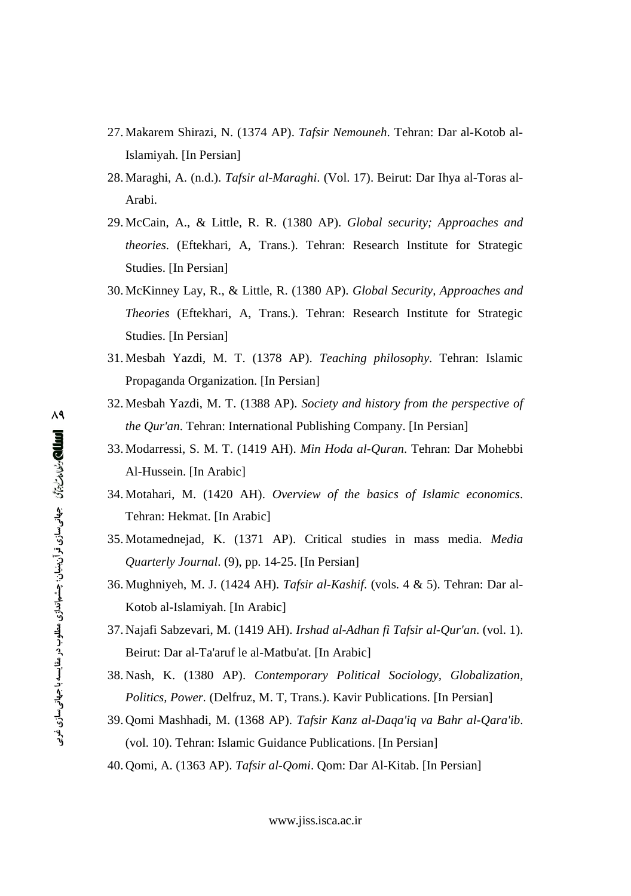- 27. Makarem Shirazi, N. (1374 AP). *Tafsir Nemouneh*. Tehran: Dar al-Kotob al-Islamiyah. [In Persian]
- 28. Maraghi, A. (n.d.). *Tafsir al-Maraghi*. (Vol. 17). Beirut: Dar Ihya al-Toras al- Arabi.
- 29. McCain, A., & Little, R. R. (1380 AP). *Global security; Approaches and theories*. (Eftekhari, A, Trans.). Tehran: Research Institute for Strategic Studies. [In Persian]
- 30. McKinney Lay, R., & Little, R. (1380 AP). *Global Security, Approaches and Theories* (Eftekhari, A, Trans.). Tehran: Research Institute for Strategic Studies. [In Persian]
- 31. Mesbah Yazdi, M. T. (1378 AP). *Teaching philosophy*. Tehran: Islamic Propaganda Organization. [In Persian]
- 32. Mesbah Yazdi, M. T. (1388 AP). *Society and history from the perspective of the Qur'an*. Tehran: International Publishing Company. [In Persian]
- 33. Modarressi, S. M. T. (1419 AH). *Min Hoda al-Quran*. Tehran: Dar Mohebbi Al-Hussein. [In Arabic]
- 34. Motahari, M. (1420 AH). *Overview of the basics of Islamic economics*. Tehran: Hekmat. [In Arabic]
- 35. Motamednejad, K. (1371 AP). Critical studies in mass media. *Media Quarterly Journal*. (9), pp. 14-25. [In Persian]
- 36. Mughniyeh, M. J. (1424 AH). *Tafsir al-Kashif*. (vols. 4 & 5). Tehran: Dar al- Kotob al-Islamiyah. [In Arabic]
- 37. Najafi Sabzevari, M. (1419 AH). *Irshad al-Adhan fi Tafsir al-Qur'an*. (vol. 1). Beirut: Dar al-Ta'aruf le al-Matbu'at. [In Arabic]
- 38. Nash, K. (1380 AP). *Contemporary Political Sociology, Globalization, Politics, Power.* (Delfruz, M. T, Trans.). Kavir Publications. [In Persian]
- 39. Qomi Mashhadi, M. (1368 AP). *Tafsir Kanz al-Daqa'iq va Bahr al-Qara'ib*. (vol. 10). Tehran: Islamic Guidance Publications. [In Persian]

40. Qomi, A. (1363 AP). *Tafsir al-Qomi*. Qom: Dar Al-Kitab. [In Persian]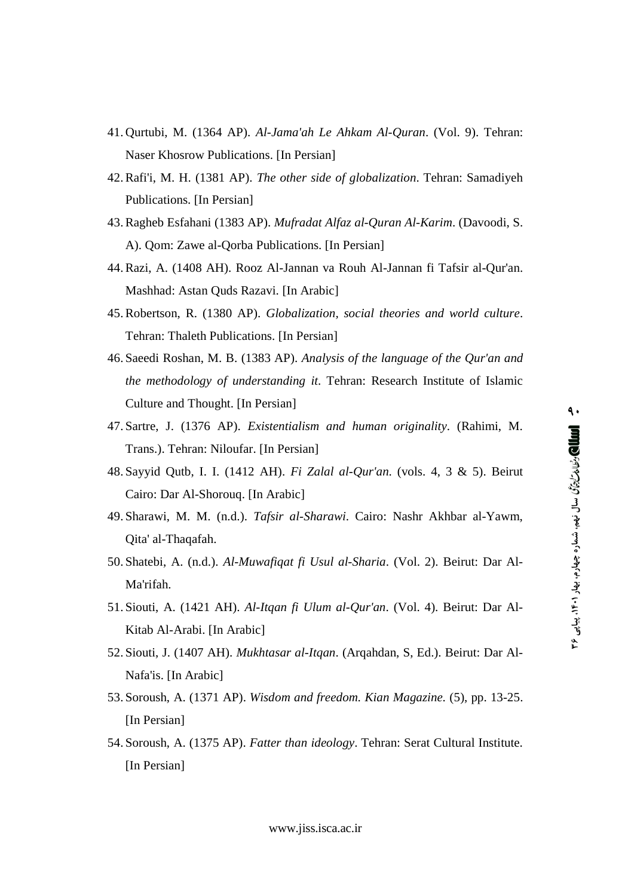- 41. Qurtubi, M. (1364 AP). *Al-Jama'ah Le Ahkam Al-Quran*. (Vol. 9). Tehran: Naser Khosrow Publications. [In Persian]
- 42.Rafi'i, M. H. (1381 AP). *The other side of globalization*. Tehran: Samadiyeh Publications. [In Persian]
- 43.Ragheb Esfahani (1383 AP). *Mufradat Alfaz al-Quran Al-Karim*. (Davoodi, S. A). Qom: Zawe al-Qorba Publications. [In Persian]
- 44.Razi, A. (1408 AH). Rooz Al-Jannan va Rouh Al-Jannan fi Tafsir al-Qur'an. Mashhad: Astan Quds Razavi. [In Arabic]
- 45.Robertson, R. (1380 AP). *Globalization, social theories and world culture*. Tehran: Thaleth Publications. [In Persian]
- 46. Saeedi Roshan, M. B. (1383 AP). *Analysis of the language of the Qur'an and the methodology of understanding it.* Tehran: Research Institute of Islamic Culture and Thought. [In Persian]
- 47. Sartre, J. (1376 AP). *Existentialism and human originality*. (Rahimi, M. Trans.). Tehran: Niloufar. [In Persian]
- 48. Sayyid Qutb, I. I. (1412 AH). *Fi Zalal al-Qur'an*. (vols. 4, 3 & 5). Beirut Cairo: Dar Al-Shorouq. [In Arabic]
- 49. Sharawi, M. M. (n.d.). *Tafsir al-Sharawi*. Cairo: Nashr Akhbar al-Yawm, Qita' al-Thaqafah.
- 50. Shatebi, A. (n.d.). *Al-Muwafiqat fi Usul al-Sharia*. (Vol. 2). Beirut: Dar Al- Ma'rifah.
- 51. Siouti, A. (1421 AH). *Al-Itqan fi Ulum al-Qur'an*. (Vol. 4). Beirut: Dar Al- Kitab Al-Arabi. [In Arabic]
- 52. Siouti, J. (1407 AH). *Mukhtasar al-Itqan*. (Arqahdan, S, Ed.). Beirut: Dar Al- Nafa'is. [In Arabic]
- 53. Soroush, A. (1371 AP). *Wisdom and freedom. Kian Magazine.* (5), pp. 13-25. [In Persian]
- 54. Soroush, A. (1375 AP). *Fatter than ideology*. Tehran: Serat Cultural Institute. [In Persian]